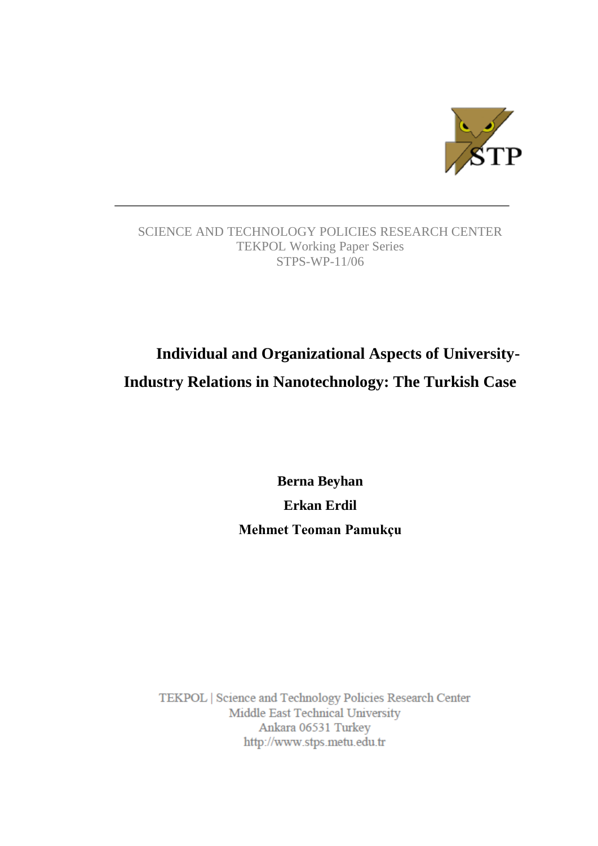

## SCIENCE AND TECHNOLOGY POLICIES RESEARCH CENTER TEKPOL Working Paper Series STPS-WP-11/06

# **Individual and Organizational Aspects of University-Industry Relations in Nanotechnology: The Turkish Case**

**Berna Beyhan Erkan Erdil Mehmet Teoman Pamukçu**

TEKPOL | Science and Technology Policies Research Center Middle East Technical University Ankara 06531 Turkey http://www.stps.metu.edu.tr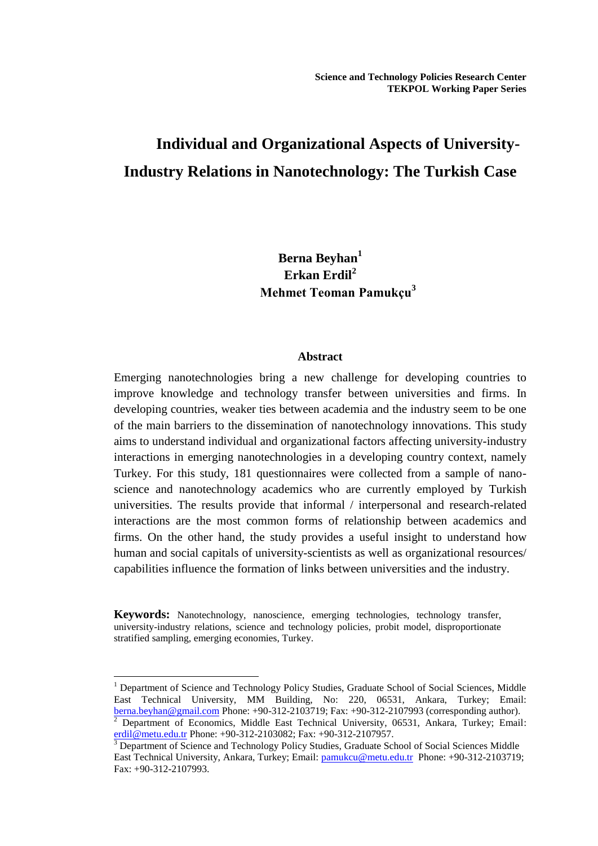# **Individual and Organizational Aspects of University-Industry Relations in Nanotechnology: The Turkish Case**

**Berna Beyhan<sup>1</sup> Erkan Erdil<sup>2</sup> Mehmet Teoman Pamukçu<sup>3</sup>**

## **Abstract**

Emerging nanotechnologies bring a new challenge for developing countries to improve knowledge and technology transfer between universities and firms. In developing countries, weaker ties between academia and the industry seem to be one of the main barriers to the dissemination of nanotechnology innovations. This study aims to understand individual and organizational factors affecting university-industry interactions in emerging nanotechnologies in a developing country context, namely Turkey. For this study, 181 questionnaires were collected from a sample of nanoscience and nanotechnology academics who are currently employed by Turkish universities. The results provide that informal / interpersonal and research-related interactions are the most common forms of relationship between academics and firms. On the other hand, the study provides a useful insight to understand how human and social capitals of university-scientists as well as organizational resources/ capabilities influence the formation of links between universities and the industry.

**Keywords:** Nanotechnology, nanoscience, emerging technologies, technology transfer, university-industry relations, science and technology policies, probit model, disproportionate stratified sampling, emerging economies, Turkey.

 $\overline{a}$ 

<sup>1</sup> Department of Science and Technology Policy Studies, Graduate School of Social Sciences, Middle East Technical University, MM Building, No: 220, 06531, Ankara, Turkey; Email: [berna.beyhan@gmail.com](mailto:berna.beyhan@gmail.com) Phone: +90-312-2103719; Fax: +90-312-2107993 (corresponding author).

<sup>2</sup> Department of Economics, Middle East Technical University, 06531, Ankara, Turkey; Email: [erdil@metu.edu.tr](mailto:erdil@metu.edu.tr) Phone: +90-312-2103082; Fax: +90-312-2107957.

<sup>3</sup> Department of Science and Technology Policy Studies, Graduate School of Social Sciences Middle East Technical University, Ankara, Turkey; Email: [pamukcu@metu.edu.tr](mailto:pamukcu@metu.edu.tr) Phone: +90-312-2103719; Fax: +90-312-2107993.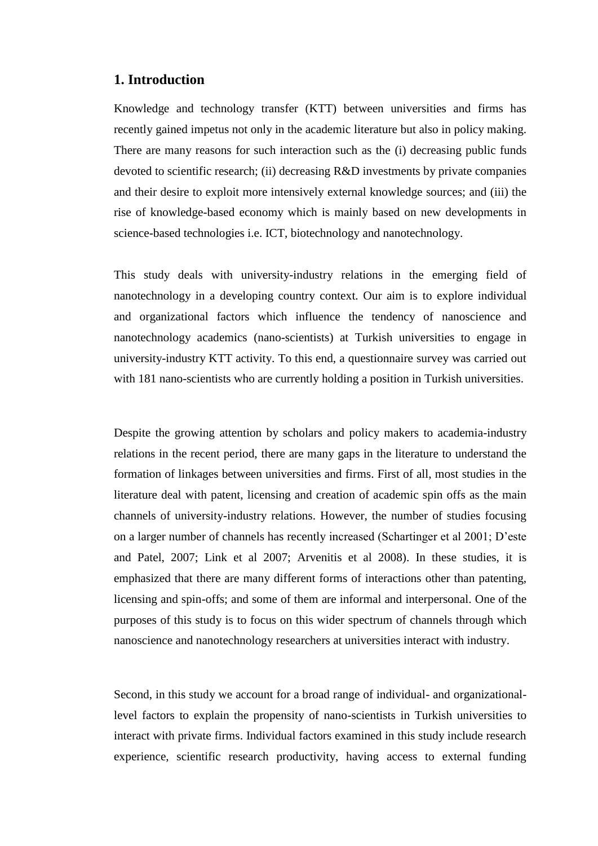## **1. Introduction**

Knowledge and technology transfer (KTT) between universities and firms has recently gained impetus not only in the academic literature but also in policy making. There are many reasons for such interaction such as the (i) decreasing public funds devoted to scientific research; (ii) decreasing R&D investments by private companies and their desire to exploit more intensively external knowledge sources; and (iii) the rise of knowledge-based economy which is mainly based on new developments in science-based technologies i.e. ICT, biotechnology and nanotechnology.

This study deals with university-industry relations in the emerging field of nanotechnology in a developing country context. Our aim is to explore individual and organizational factors which influence the tendency of nanoscience and nanotechnology academics (nano-scientists) at Turkish universities to engage in university-industry KTT activity. To this end, a questionnaire survey was carried out with 181 nano-scientists who are currently holding a position in Turkish universities.

Despite the growing attention by scholars and policy makers to academia-industry relations in the recent period, there are many gaps in the literature to understand the formation of linkages between universities and firms. First of all, most studies in the literature deal with patent, licensing and creation of academic spin offs as the main channels of university-industry relations. However, the number of studies focusing on a larger number of channels has recently increased (Schartinger et al 2001; D"este and Patel, 2007; Link et al 2007; Arvenitis et al 2008). In these studies, it is emphasized that there are many different forms of interactions other than patenting, licensing and spin-offs; and some of them are informal and interpersonal. One of the purposes of this study is to focus on this wider spectrum of channels through which nanoscience and nanotechnology researchers at universities interact with industry.

Second, in this study we account for a broad range of individual- and organizationallevel factors to explain the propensity of nano-scientists in Turkish universities to interact with private firms. Individual factors examined in this study include research experience, scientific research productivity, having access to external funding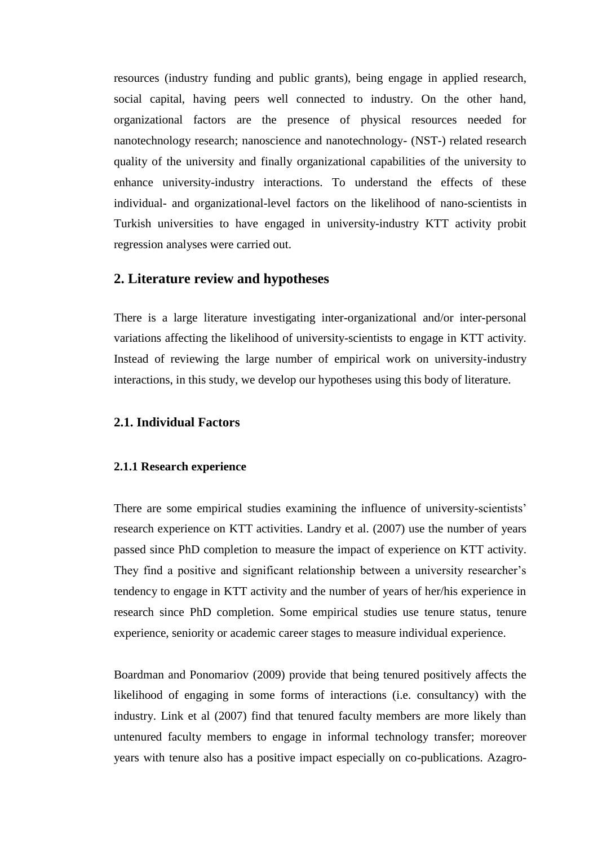resources (industry funding and public grants), being engage in applied research, social capital, having peers well connected to industry. On the other hand, organizational factors are the presence of physical resources needed for nanotechnology research; nanoscience and nanotechnology- (NST-) related research quality of the university and finally organizational capabilities of the university to enhance university-industry interactions. To understand the effects of these individual- and organizational-level factors on the likelihood of nano-scientists in Turkish universities to have engaged in university-industry KTT activity probit regression analyses were carried out.

#### **2. Literature review and hypotheses**

There is a large literature investigating inter-organizational and/or inter-personal variations affecting the likelihood of university-scientists to engage in KTT activity. Instead of reviewing the large number of empirical work on university-industry interactions, in this study, we develop our hypotheses using this body of literature.

## **2.1. Individual Factors**

## **2.1.1 Research experience**

There are some empirical studies examining the influence of university-scientists' research experience on KTT activities. Landry et al. (2007) use the number of years passed since PhD completion to measure the impact of experience on KTT activity. They find a positive and significant relationship between a university researcher's tendency to engage in KTT activity and the number of years of her/his experience in research since PhD completion. Some empirical studies use tenure status, tenure experience, seniority or academic career stages to measure individual experience.

Boardman and Ponomariov (2009) provide that being tenured positively affects the likelihood of engaging in some forms of interactions (i.e. consultancy) with the industry. Link et al (2007) find that tenured faculty members are more likely than untenured faculty members to engage in informal technology transfer; moreover years with tenure also has a positive impact especially on co-publications. Azagro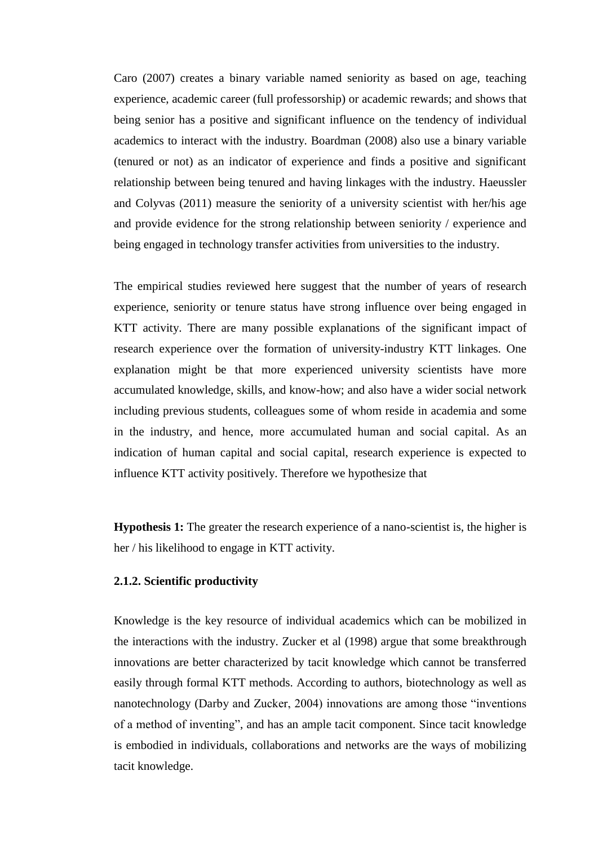Caro (2007) creates a binary variable named seniority as based on age, teaching experience, academic career (full professorship) or academic rewards; and shows that being senior has a positive and significant influence on the tendency of individual academics to interact with the industry. Boardman (2008) also use a binary variable (tenured or not) as an indicator of experience and finds a positive and significant relationship between being tenured and having linkages with the industry. Haeussler and Colyvas (2011) measure the seniority of a university scientist with her/his age and provide evidence for the strong relationship between seniority / experience and being engaged in technology transfer activities from universities to the industry.

The empirical studies reviewed here suggest that the number of years of research experience, seniority or tenure status have strong influence over being engaged in KTT activity. There are many possible explanations of the significant impact of research experience over the formation of university-industry KTT linkages. One explanation might be that more experienced university scientists have more accumulated knowledge, skills, and know-how; and also have a wider social network including previous students, colleagues some of whom reside in academia and some in the industry, and hence, more accumulated human and social capital. As an indication of human capital and social capital, research experience is expected to influence KTT activity positively. Therefore we hypothesize that

**Hypothesis 1:** The greater the research experience of a nano-scientist is, the higher is her / his likelihood to engage in KTT activity.

#### **2.1.2. Scientific productivity**

Knowledge is the key resource of individual academics which can be mobilized in the interactions with the industry. Zucker et al (1998) argue that some breakthrough innovations are better characterized by tacit knowledge which cannot be transferred easily through formal KTT methods. According to authors, biotechnology as well as nanotechnology (Darby and Zucker, 2004) innovations are among those "inventions of a method of inventing", and has an ample tacit component. Since tacit knowledge is embodied in individuals, collaborations and networks are the ways of mobilizing tacit knowledge.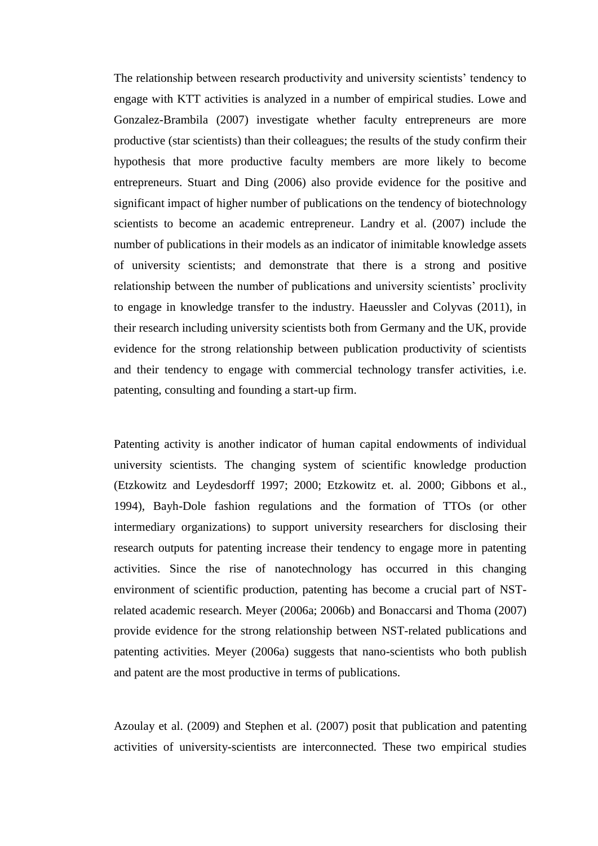The relationship between research productivity and university scientists' tendency to engage with KTT activities is analyzed in a number of empirical studies. Lowe and Gonzalez-Brambila (2007) investigate whether faculty entrepreneurs are more productive (star scientists) than their colleagues; the results of the study confirm their hypothesis that more productive faculty members are more likely to become entrepreneurs. Stuart and Ding (2006) also provide evidence for the positive and significant impact of higher number of publications on the tendency of biotechnology scientists to become an academic entrepreneur. Landry et al. (2007) include the number of publications in their models as an indicator of inimitable knowledge assets of university scientists; and demonstrate that there is a strong and positive relationship between the number of publications and university scientists" proclivity to engage in knowledge transfer to the industry. Haeussler and Colyvas (2011), in their research including university scientists both from Germany and the UK, provide evidence for the strong relationship between publication productivity of scientists and their tendency to engage with commercial technology transfer activities, i.e. patenting, consulting and founding a start-up firm.

Patenting activity is another indicator of human capital endowments of individual university scientists. The changing system of scientific knowledge production (Etzkowitz and Leydesdorff 1997; 2000; Etzkowitz et. al. 2000; Gibbons et al., 1994), Bayh-Dole fashion regulations and the formation of TTOs (or other intermediary organizations) to support university researchers for disclosing their research outputs for patenting increase their tendency to engage more in patenting activities. Since the rise of nanotechnology has occurred in this changing environment of scientific production, patenting has become a crucial part of NSTrelated academic research. Meyer (2006a; 2006b) and Bonaccarsi and Thoma (2007) provide evidence for the strong relationship between NST-related publications and patenting activities. Meyer (2006a) suggests that nano-scientists who both publish and patent are the most productive in terms of publications.

Azoulay et al. (2009) and Stephen et al. (2007) posit that publication and patenting activities of university-scientists are interconnected. These two empirical studies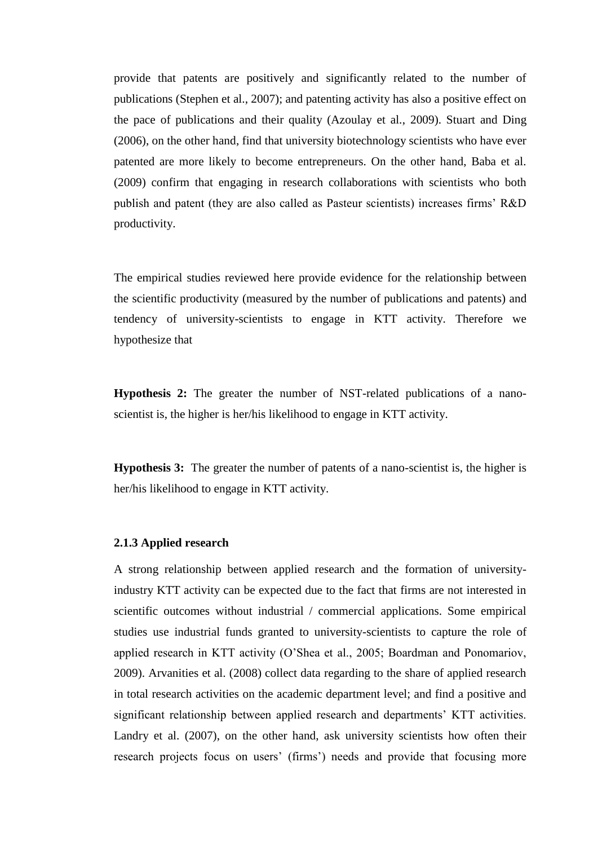provide that patents are positively and significantly related to the number of publications (Stephen et al., 2007); and patenting activity has also a positive effect on the pace of publications and their quality (Azoulay et al., 2009). Stuart and Ding (2006), on the other hand, find that university biotechnology scientists who have ever patented are more likely to become entrepreneurs. On the other hand, Baba et al. (2009) confirm that engaging in research collaborations with scientists who both publish and patent (they are also called as Pasteur scientists) increases firms" R&D productivity.

The empirical studies reviewed here provide evidence for the relationship between the scientific productivity (measured by the number of publications and patents) and tendency of university-scientists to engage in KTT activity. Therefore we hypothesize that

**Hypothesis 2:** The greater the number of NST-related publications of a nanoscientist is, the higher is her/his likelihood to engage in KTT activity.

**Hypothesis 3:** The greater the number of patents of a nano-scientist is, the higher is her/his likelihood to engage in KTT activity.

#### **2.1.3 Applied research**

A strong relationship between applied research and the formation of universityindustry KTT activity can be expected due to the fact that firms are not interested in scientific outcomes without industrial / commercial applications. Some empirical studies use industrial funds granted to university-scientists to capture the role of applied research in KTT activity (O"Shea et al., 2005; Boardman and Ponomariov, 2009). Arvanities et al. (2008) collect data regarding to the share of applied research in total research activities on the academic department level; and find a positive and significant relationship between applied research and departments' KTT activities. Landry et al. (2007), on the other hand, ask university scientists how often their research projects focus on users' (firms') needs and provide that focusing more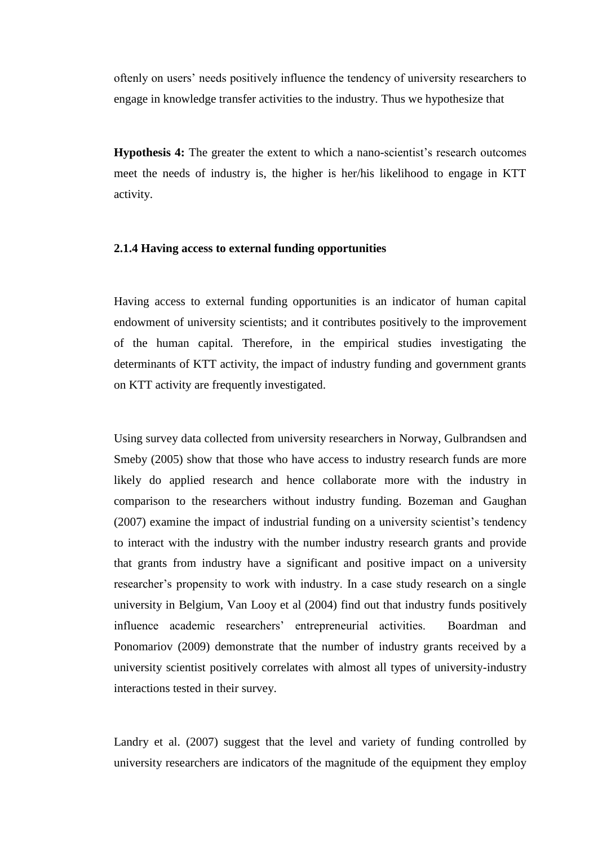oftenly on users" needs positively influence the tendency of university researchers to engage in knowledge transfer activities to the industry. Thus we hypothesize that

**Hypothesis 4:** The greater the extent to which a nano-scientist's research outcomes meet the needs of industry is, the higher is her/his likelihood to engage in KTT activity.

#### **2.1.4 Having access to external funding opportunities**

Having access to external funding opportunities is an indicator of human capital endowment of university scientists; and it contributes positively to the improvement of the human capital. Therefore, in the empirical studies investigating the determinants of KTT activity, the impact of industry funding and government grants on KTT activity are frequently investigated.

Using survey data collected from university researchers in Norway, Gulbrandsen and Smeby (2005) show that those who have access to industry research funds are more likely do applied research and hence collaborate more with the industry in comparison to the researchers without industry funding. Bozeman and Gaughan (2007) examine the impact of industrial funding on a university scientist's tendency to interact with the industry with the number industry research grants and provide that grants from industry have a significant and positive impact on a university researcher's propensity to work with industry. In a case study research on a single university in Belgium, Van Looy et al (2004) find out that industry funds positively influence academic researchers" entrepreneurial activities. Boardman and Ponomariov (2009) demonstrate that the number of industry grants received by a university scientist positively correlates with almost all types of university-industry interactions tested in their survey.

Landry et al. (2007) suggest that the level and variety of funding controlled by university researchers are indicators of the magnitude of the equipment they employ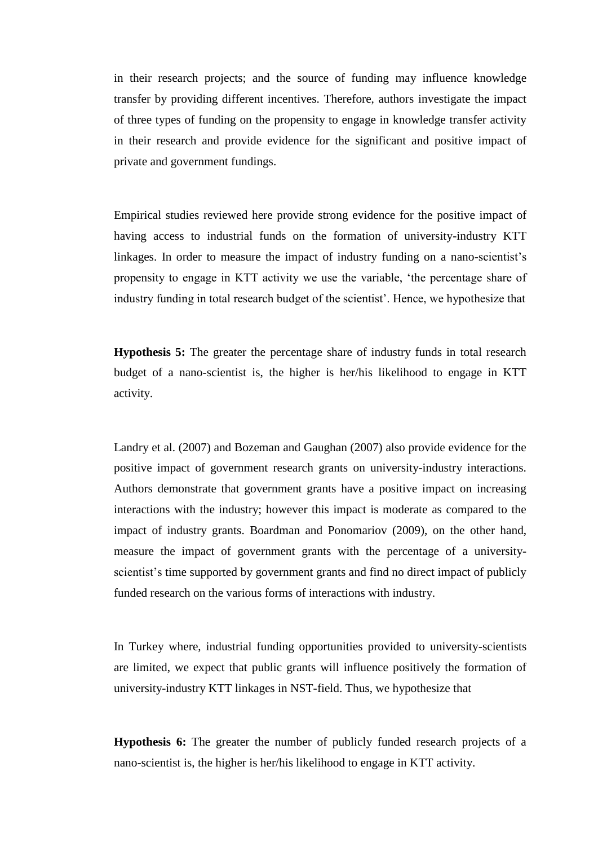in their research projects; and the source of funding may influence knowledge transfer by providing different incentives. Therefore, authors investigate the impact of three types of funding on the propensity to engage in knowledge transfer activity in their research and provide evidence for the significant and positive impact of private and government fundings.

Empirical studies reviewed here provide strong evidence for the positive impact of having access to industrial funds on the formation of university-industry KTT linkages. In order to measure the impact of industry funding on a nano-scientist's propensity to engage in KTT activity we use the variable, "the percentage share of industry funding in total research budget of the scientist". Hence, we hypothesize that

**Hypothesis 5:** The greater the percentage share of industry funds in total research budget of a nano-scientist is, the higher is her/his likelihood to engage in KTT activity.

Landry et al. (2007) and Bozeman and Gaughan (2007) also provide evidence for the positive impact of government research grants on university-industry interactions. Authors demonstrate that government grants have a positive impact on increasing interactions with the industry; however this impact is moderate as compared to the impact of industry grants. Boardman and Ponomariov (2009), on the other hand, measure the impact of government grants with the percentage of a universityscientist's time supported by government grants and find no direct impact of publicly funded research on the various forms of interactions with industry.

In Turkey where, industrial funding opportunities provided to university-scientists are limited, we expect that public grants will influence positively the formation of university-industry KTT linkages in NST-field. Thus, we hypothesize that

**Hypothesis 6:** The greater the number of publicly funded research projects of a nano-scientist is, the higher is her/his likelihood to engage in KTT activity.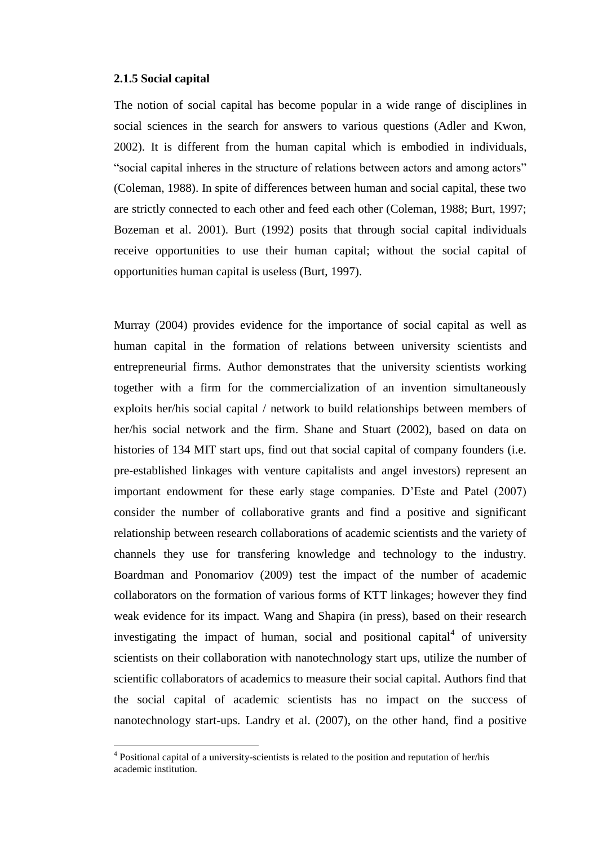#### **2.1.5 Social capital**

 $\overline{a}$ 

The notion of social capital has become popular in a wide range of disciplines in social sciences in the search for answers to various questions (Adler and Kwon, 2002). It is different from the human capital which is embodied in individuals, "social capital inheres in the structure of relations between actors and among actors" (Coleman, 1988). In spite of differences between human and social capital, these two are strictly connected to each other and feed each other (Coleman, 1988; Burt, 1997; Bozeman et al. 2001). Burt (1992) posits that through social capital individuals receive opportunities to use their human capital; without the social capital of opportunities human capital is useless (Burt, 1997).

Murray (2004) provides evidence for the importance of social capital as well as human capital in the formation of relations between university scientists and entrepreneurial firms. Author demonstrates that the university scientists working together with a firm for the commercialization of an invention simultaneously exploits her/his social capital / network to build relationships between members of her/his social network and the firm. Shane and Stuart (2002), based on data on histories of 134 MIT start ups, find out that social capital of company founders (i.e. pre-established linkages with venture capitalists and angel investors) represent an important endowment for these early stage companies. D"Este and Patel (2007) consider the number of collaborative grants and find a positive and significant relationship between research collaborations of academic scientists and the variety of channels they use for transfering knowledge and technology to the industry. Boardman and Ponomariov (2009) test the impact of the number of academic collaborators on the formation of various forms of KTT linkages; however they find weak evidence for its impact. Wang and Shapira (in press), based on their research investigating the impact of human, social and positional capital $4$  of university scientists on their collaboration with nanotechnology start ups, utilize the number of scientific collaborators of academics to measure their social capital. Authors find that the social capital of academic scientists has no impact on the success of nanotechnology start-ups. Landry et al. (2007), on the other hand, find a positive

 $4$  Positional capital of a university-scientists is related to the position and reputation of her/his academic institution.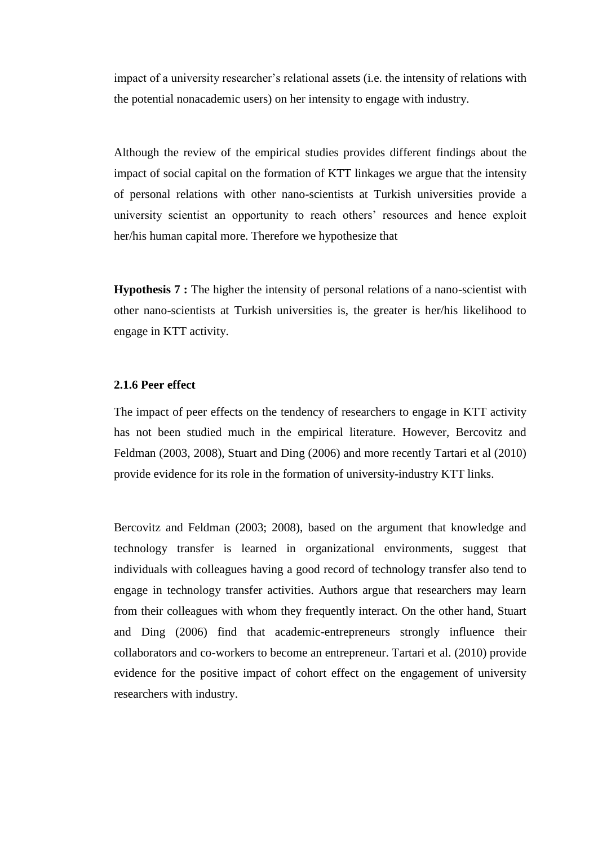impact of a university researcher's relational assets (i.e. the intensity of relations with the potential nonacademic users) on her intensity to engage with industry.

Although the review of the empirical studies provides different findings about the impact of social capital on the formation of KTT linkages we argue that the intensity of personal relations with other nano-scientists at Turkish universities provide a university scientist an opportunity to reach others" resources and hence exploit her/his human capital more. Therefore we hypothesize that

**Hypothesis 7 :** The higher the intensity of personal relations of a nano-scientist with other nano-scientists at Turkish universities is, the greater is her/his likelihood to engage in KTT activity.

## **2.1.6 Peer effect**

The impact of peer effects on the tendency of researchers to engage in KTT activity has not been studied much in the empirical literature. However, Bercovitz and Feldman (2003, 2008), Stuart and Ding (2006) and more recently Tartari et al (2010) provide evidence for its role in the formation of university-industry KTT links.

Bercovitz and Feldman (2003; 2008), based on the argument that knowledge and technology transfer is learned in organizational environments, suggest that individuals with colleagues having a good record of technology transfer also tend to engage in technology transfer activities. Authors argue that researchers may learn from their colleagues with whom they frequently interact. On the other hand, Stuart and Ding (2006) find that academic-entrepreneurs strongly influence their collaborators and co-workers to become an entrepreneur. Tartari et al. (2010) provide evidence for the positive impact of cohort effect on the engagement of university researchers with industry.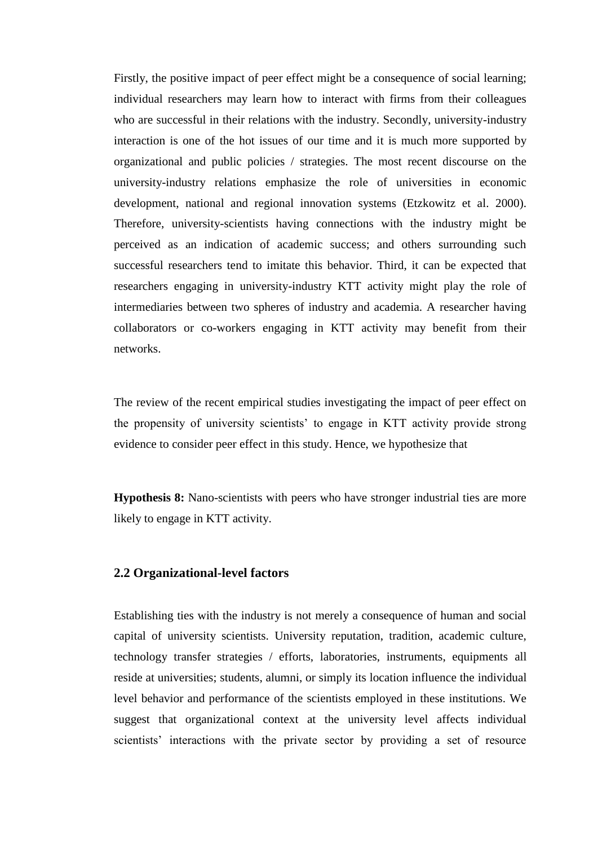Firstly, the positive impact of peer effect might be a consequence of social learning; individual researchers may learn how to interact with firms from their colleagues who are successful in their relations with the industry. Secondly, university-industry interaction is one of the hot issues of our time and it is much more supported by organizational and public policies / strategies. The most recent discourse on the university-industry relations emphasize the role of universities in economic development, national and regional innovation systems (Etzkowitz et al. 2000). Therefore, university-scientists having connections with the industry might be perceived as an indication of academic success; and others surrounding such successful researchers tend to imitate this behavior. Third, it can be expected that researchers engaging in university-industry KTT activity might play the role of intermediaries between two spheres of industry and academia. A researcher having collaborators or co-workers engaging in KTT activity may benefit from their networks.

The review of the recent empirical studies investigating the impact of peer effect on the propensity of university scientists" to engage in KTT activity provide strong evidence to consider peer effect in this study. Hence, we hypothesize that

**Hypothesis 8:** Nano-scientists with peers who have stronger industrial ties are more likely to engage in KTT activity.

#### **2.2 Organizational-level factors**

Establishing ties with the industry is not merely a consequence of human and social capital of university scientists. University reputation, tradition, academic culture, technology transfer strategies / efforts, laboratories, instruments, equipments all reside at universities; students, alumni, or simply its location influence the individual level behavior and performance of the scientists employed in these institutions. We suggest that organizational context at the university level affects individual scientists' interactions with the private sector by providing a set of resource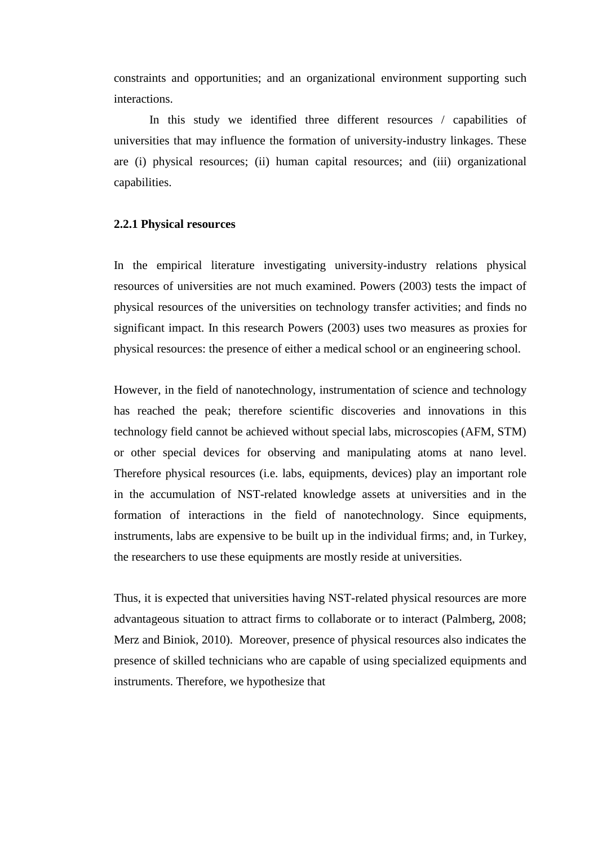constraints and opportunities; and an organizational environment supporting such interactions.

In this study we identified three different resources / capabilities of universities that may influence the formation of university-industry linkages. These are (i) physical resources; (ii) human capital resources; and (iii) organizational capabilities.

#### **2.2.1 Physical resources**

In the empirical literature investigating university-industry relations physical resources of universities are not much examined. Powers (2003) tests the impact of physical resources of the universities on technology transfer activities; and finds no significant impact. In this research Powers (2003) uses two measures as proxies for physical resources: the presence of either a medical school or an engineering school.

However, in the field of nanotechnology, instrumentation of science and technology has reached the peak; therefore scientific discoveries and innovations in this technology field cannot be achieved without special labs, microscopies (AFM, STM) or other special devices for observing and manipulating atoms at nano level. Therefore physical resources (i.e. labs, equipments, devices) play an important role in the accumulation of NST-related knowledge assets at universities and in the formation of interactions in the field of nanotechnology. Since equipments, instruments, labs are expensive to be built up in the individual firms; and, in Turkey, the researchers to use these equipments are mostly reside at universities.

Thus, it is expected that universities having NST-related physical resources are more advantageous situation to attract firms to collaborate or to interact (Palmberg, 2008; Merz and Biniok, 2010). Moreover, presence of physical resources also indicates the presence of skilled technicians who are capable of using specialized equipments and instruments. Therefore, we hypothesize that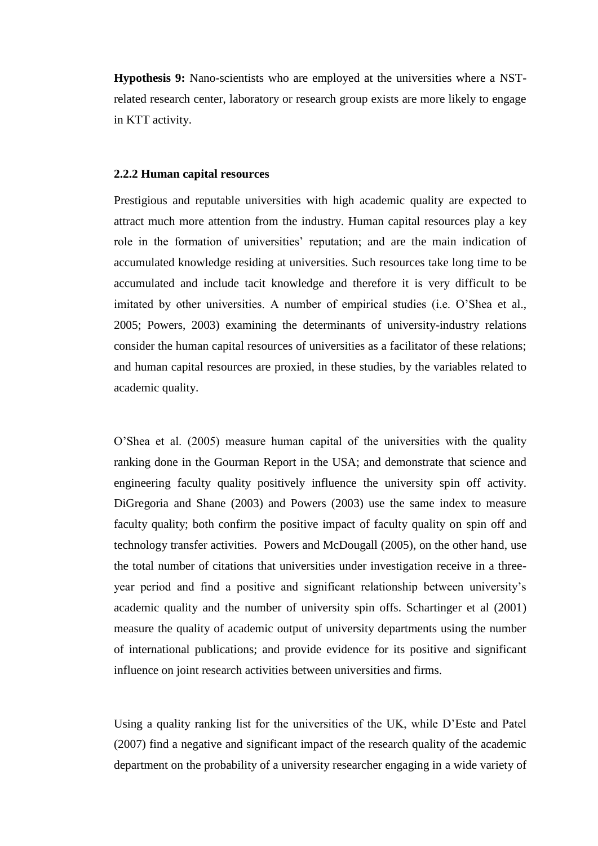**Hypothesis 9:** Nano-scientists who are employed at the universities where a NSTrelated research center, laboratory or research group exists are more likely to engage in KTT activity.

#### **2.2.2 Human capital resources**

Prestigious and reputable universities with high academic quality are expected to attract much more attention from the industry. Human capital resources play a key role in the formation of universities' reputation; and are the main indication of accumulated knowledge residing at universities. Such resources take long time to be accumulated and include tacit knowledge and therefore it is very difficult to be imitated by other universities. A number of empirical studies (i.e. O"Shea et al., 2005; Powers, 2003) examining the determinants of university-industry relations consider the human capital resources of universities as a facilitator of these relations; and human capital resources are proxied, in these studies, by the variables related to academic quality.

O"Shea et al. (2005) measure human capital of the universities with the quality ranking done in the Gourman Report in the USA; and demonstrate that science and engineering faculty quality positively influence the university spin off activity. DiGregoria and Shane (2003) and Powers (2003) use the same index to measure faculty quality; both confirm the positive impact of faculty quality on spin off and technology transfer activities. Powers and McDougall (2005), on the other hand, use the total number of citations that universities under investigation receive in a threeyear period and find a positive and significant relationship between university"s academic quality and the number of university spin offs. Schartinger et al (2001) measure the quality of academic output of university departments using the number of international publications; and provide evidence for its positive and significant influence on joint research activities between universities and firms.

Using a quality ranking list for the universities of the UK, while D"Este and Patel (2007) find a negative and significant impact of the research quality of the academic department on the probability of a university researcher engaging in a wide variety of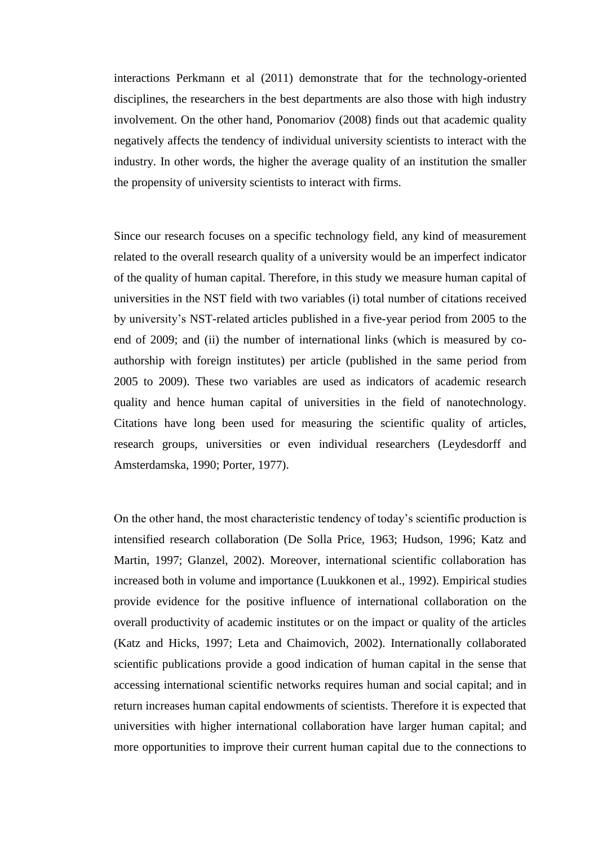interactions Perkmann et al (2011) demonstrate that for the technology-oriented disciplines, the researchers in the best departments are also those with high industry involvement. On the other hand, Ponomariov (2008) finds out that academic quality negatively affects the tendency of individual university scientists to interact with the industry. In other words, the higher the average quality of an institution the smaller the propensity of university scientists to interact with firms.

Since our research focuses on a specific technology field, any kind of measurement related to the overall research quality of a university would be an imperfect indicator of the quality of human capital. Therefore, in this study we measure human capital of universities in the NST field with two variables (i) total number of citations received by university"s NST-related articles published in a five-year period from 2005 to the end of 2009; and (ii) the number of international links (which is measured by coauthorship with foreign institutes) per article (published in the same period from 2005 to 2009). These two variables are used as indicators of academic research quality and hence human capital of universities in the field of nanotechnology. Citations have long been used for measuring the scientific quality of articles, research groups, universities or even individual researchers (Leydesdorff and Amsterdamska, 1990; Porter, 1977).

On the other hand, the most characteristic tendency of today"s scientific production is intensified research collaboration (De Solla Price, 1963; Hudson, 1996; Katz and Martin, 1997; Glanzel, 2002). Moreover, international scientific collaboration has increased both in volume and importance (Luukkonen et al., 1992). Empirical studies provide evidence for the positive influence of international collaboration on the overall productivity of academic institutes or on the impact or quality of the articles (Katz and Hicks, 1997; Leta and Chaimovich, 2002). Internationally collaborated scientific publications provide a good indication of human capital in the sense that accessing international scientific networks requires human and social capital; and in return increases human capital endowments of scientists. Therefore it is expected that universities with higher international collaboration have larger human capital; and more opportunities to improve their current human capital due to the connections to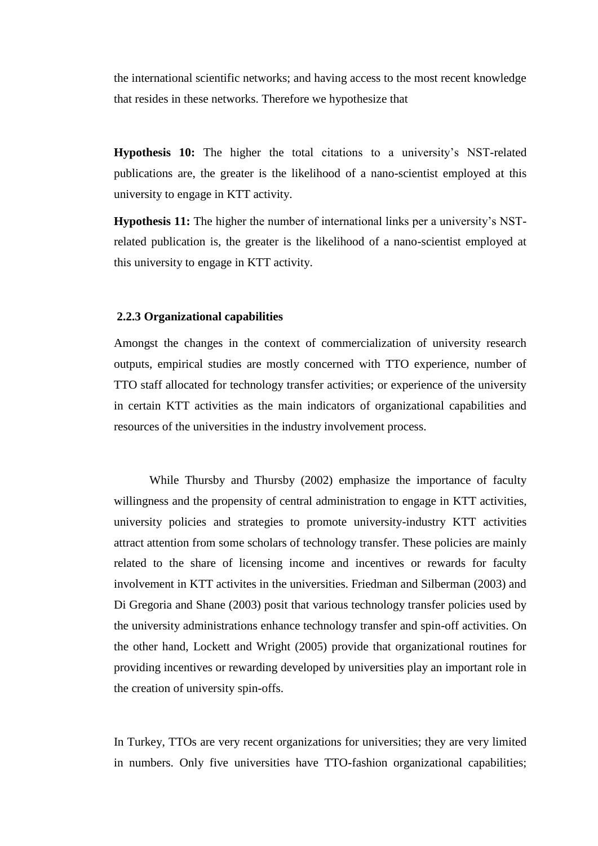the international scientific networks; and having access to the most recent knowledge that resides in these networks. Therefore we hypothesize that

**Hypothesis 10:** The higher the total citations to a university"s NST-related publications are, the greater is the likelihood of a nano-scientist employed at this university to engage in KTT activity.

**Hypothesis 11:** The higher the number of international links per a university's NSTrelated publication is, the greater is the likelihood of a nano-scientist employed at this university to engage in KTT activity.

#### **2.2.3 Organizational capabilities**

Amongst the changes in the context of commercialization of university research outputs, empirical studies are mostly concerned with TTO experience, number of TTO staff allocated for technology transfer activities; or experience of the university in certain KTT activities as the main indicators of organizational capabilities and resources of the universities in the industry involvement process.

While Thursby and Thursby (2002) emphasize the importance of faculty willingness and the propensity of central administration to engage in KTT activities, university policies and strategies to promote university-industry KTT activities attract attention from some scholars of technology transfer. These policies are mainly related to the share of licensing income and incentives or rewards for faculty involvement in KTT activites in the universities. Friedman and Silberman (2003) and Di Gregoria and Shane (2003) posit that various technology transfer policies used by the university administrations enhance technology transfer and spin-off activities. On the other hand, Lockett and Wright (2005) provide that organizational routines for providing incentives or rewarding developed by universities play an important role in the creation of university spin-offs.

In Turkey, TTOs are very recent organizations for universities; they are very limited in numbers. Only five universities have TTO-fashion organizational capabilities;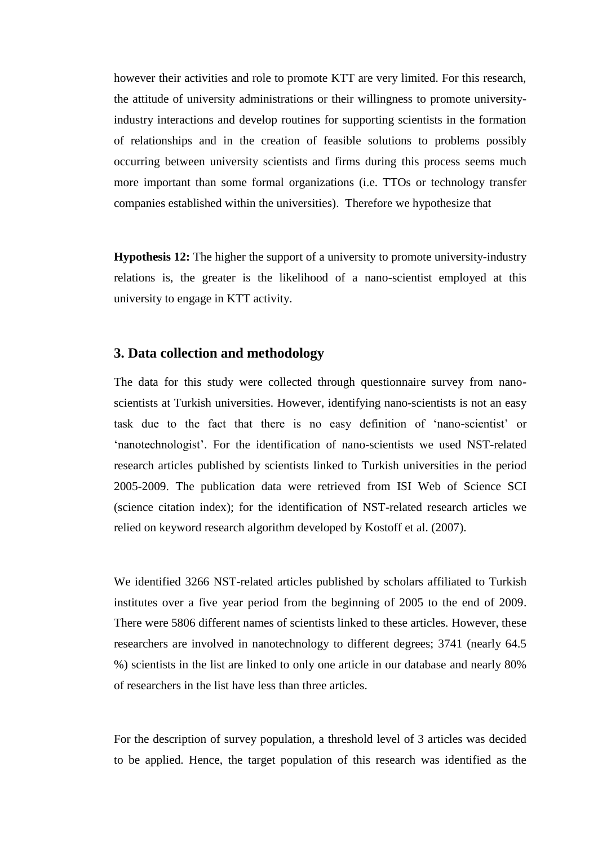however their activities and role to promote KTT are very limited. For this research, the attitude of university administrations or their willingness to promote universityindustry interactions and develop routines for supporting scientists in the formation of relationships and in the creation of feasible solutions to problems possibly occurring between university scientists and firms during this process seems much more important than some formal organizations (i.e. TTOs or technology transfer companies established within the universities). Therefore we hypothesize that

**Hypothesis 12:** The higher the support of a university to promote university-industry relations is, the greater is the likelihood of a nano-scientist employed at this university to engage in KTT activity.

## **3. Data collection and methodology**

The data for this study were collected through questionnaire survey from nanoscientists at Turkish universities. However, identifying nano-scientists is not an easy task due to the fact that there is no easy definition of 'nano-scientist' or 'nanotechnologist'. For the identification of nano-scientists we used NST-related research articles published by scientists linked to Turkish universities in the period 2005-2009. The publication data were retrieved from ISI Web of Science SCI (science citation index); for the identification of NST-related research articles we relied on keyword research algorithm developed by Kostoff et al. (2007).

We identified 3266 NST-related articles published by scholars affiliated to Turkish institutes over a five year period from the beginning of 2005 to the end of 2009. There were 5806 different names of scientists linked to these articles. However, these researchers are involved in nanotechnology to different degrees; 3741 (nearly 64.5 %) scientists in the list are linked to only one article in our database and nearly 80% of researchers in the list have less than three articles.

For the description of survey population, a threshold level of 3 articles was decided to be applied. Hence, the target population of this research was identified as the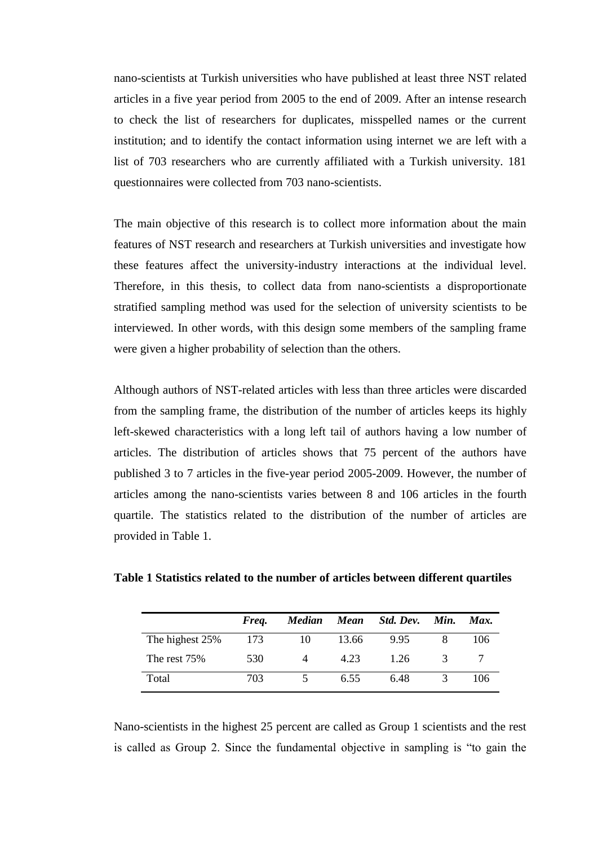nano-scientists at Turkish universities who have published at least three NST related articles in a five year period from 2005 to the end of 2009. After an intense research to check the list of researchers for duplicates, misspelled names or the current institution; and to identify the contact information using internet we are left with a list of 703 researchers who are currently affiliated with a Turkish university. 181 questionnaires were collected from 703 nano-scientists.

The main objective of this research is to collect more information about the main features of NST research and researchers at Turkish universities and investigate how these features affect the university-industry interactions at the individual level. Therefore, in this thesis, to collect data from nano-scientists a disproportionate stratified sampling method was used for the selection of university scientists to be interviewed. In other words, with this design some members of the sampling frame were given a higher probability of selection than the others.

Although authors of NST-related articles with less than three articles were discarded from the sampling frame, the distribution of the number of articles keeps its highly left-skewed characteristics with a long left tail of authors having a low number of articles. The distribution of articles shows that 75 percent of the authors have published 3 to 7 articles in the five-year period 2005-2009. However, the number of articles among the nano-scientists varies between 8 and 106 articles in the fourth quartile. The statistics related to the distribution of the number of articles are provided in Table 1.

|                 | Freq. | <b>Median</b> | Mean  | Std. Dev. | Min.         | Max. |
|-----------------|-------|---------------|-------|-----------|--------------|------|
| The highest 25% | 173   | 10            | 13.66 | 9.95      |              | 106  |
| The rest 75%    | 530   |               | 4.23  | 1.26      | $\mathbf{R}$ |      |
| Total           | 703   |               | 6.55  | 6.48      |              | 106  |

| Table 1 Statistics related to the number of articles between different quartiles |  |
|----------------------------------------------------------------------------------|--|
|----------------------------------------------------------------------------------|--|

Nano-scientists in the highest 25 percent are called as Group 1 scientists and the rest is called as Group 2. Since the fundamental objective in sampling is "to gain the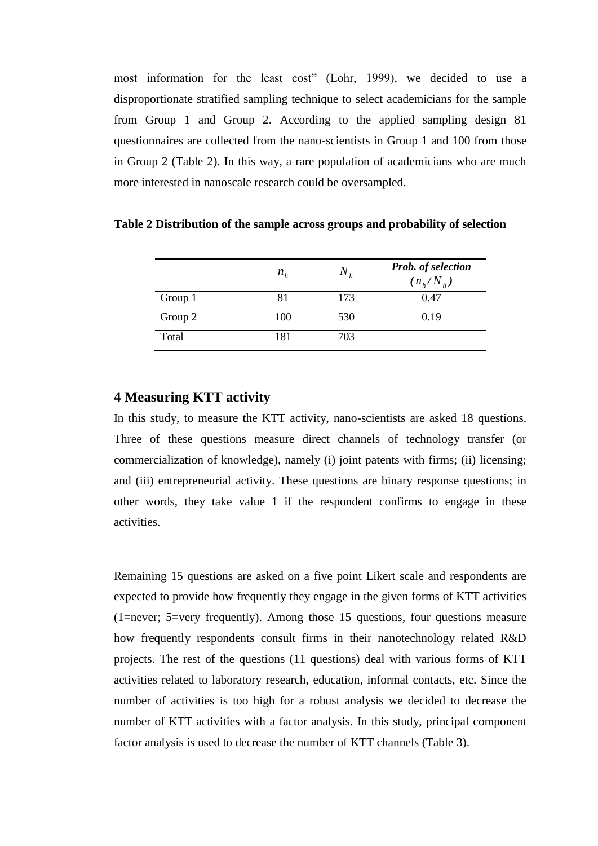most information for the least cost" (Lohr, 1999), we decided to use a disproportionate stratified sampling technique to select academicians for the sample from Group 1 and Group 2. According to the applied sampling design 81 questionnaires are collected from the nano-scientists in Group 1 and 100 from those in Group 2 (Table 2). In this way, a rare population of academicians who are much more interested in nanoscale research could be oversampled.

|         | $n_h$ | $N_{h}$ | Prob. of selection<br>$(n_h/N_h)$ |
|---------|-------|---------|-----------------------------------|
| Group 1 | 81    | 173     | 0.47                              |
| Group 2 | 100   | 530     | 0.19                              |
| Total   | 181   | 703     |                                   |

**Table 2 Distribution of the sample across groups and probability of selection**

## **4 Measuring KTT activity**

In this study, to measure the KTT activity, nano-scientists are asked 18 questions. Three of these questions measure direct channels of technology transfer (or commercialization of knowledge), namely (i) joint patents with firms; (ii) licensing; and (iii) entrepreneurial activity. These questions are binary response questions; in other words, they take value 1 if the respondent confirms to engage in these activities.

Remaining 15 questions are asked on a five point Likert scale and respondents are expected to provide how frequently they engage in the given forms of KTT activities (1=never; 5=very frequently). Among those 15 questions, four questions measure how frequently respondents consult firms in their nanotechnology related R&D projects. The rest of the questions (11 questions) deal with various forms of KTT activities related to laboratory research, education, informal contacts, etc. Since the number of activities is too high for a robust analysis we decided to decrease the number of KTT activities with a factor analysis. In this study, principal component factor analysis is used to decrease the number of KTT channels (Table 3).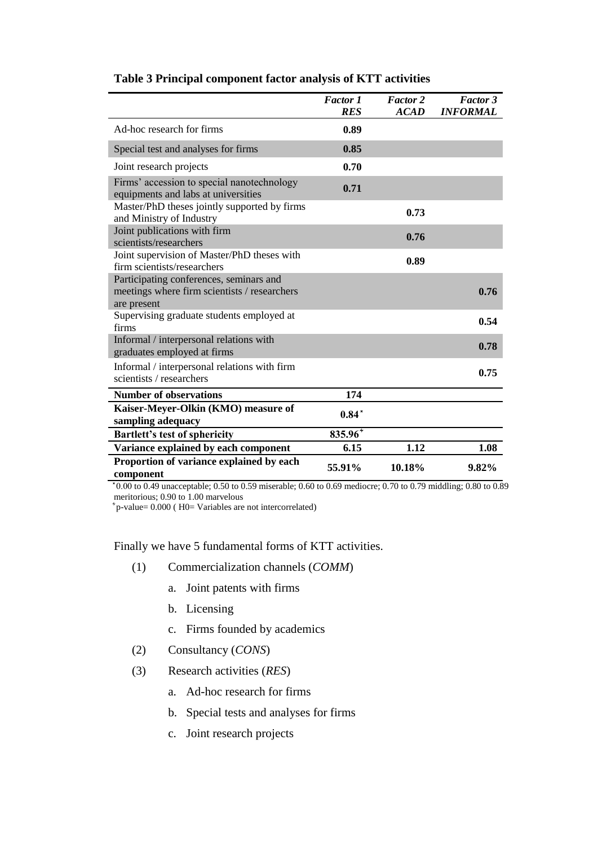|                                                                                                        | <b>Factor 1</b><br><b>RES</b> | <b>Factor 2</b><br><b>ACAD</b> | <b>Factor 3</b><br><b>INFORMAL</b> |
|--------------------------------------------------------------------------------------------------------|-------------------------------|--------------------------------|------------------------------------|
| Ad-hoc research for firms                                                                              | 0.89                          |                                |                                    |
| Special test and analyses for firms                                                                    | 0.85                          |                                |                                    |
| Joint research projects                                                                                | 0.70                          |                                |                                    |
| Firms' accession to special nanotechnology<br>equipments and labs at universities                      | 0.71                          |                                |                                    |
| Master/PhD theses jointly supported by firms<br>and Ministry of Industry                               |                               | 0.73                           |                                    |
| Joint publications with firm<br>scientists/researchers                                                 |                               | 0.76                           |                                    |
| Joint supervision of Master/PhD theses with<br>firm scientists/researchers                             |                               | 0.89                           |                                    |
| Participating conferences, seminars and<br>meetings where firm scientists / researchers<br>are present |                               |                                | 0.76                               |
| Supervising graduate students employed at<br>firms                                                     |                               |                                | 0.54                               |
| Informal / interpersonal relations with<br>graduates employed at firms                                 |                               |                                | 0.78                               |
| Informal / interpersonal relations with firm<br>scientists / researchers                               |                               |                                | 0.75                               |
| <b>Number of observations</b>                                                                          | 174                           |                                |                                    |
| Kaiser-Meyer-Olkin (KMO) measure of<br>sampling adequacy                                               | $0.84*$                       |                                |                                    |
| <b>Bartlett's test of sphericity</b>                                                                   | $835.96^{*}$                  |                                |                                    |
| Variance explained by each component                                                                   | 6.15                          | 1.12                           | 1.08                               |
| Proportion of variance explained by each<br>component                                                  | 55.91%                        | 10.18%                         | 9.82%                              |

## **Table 3 Principal component factor analysis of KTT activities**

 0.00 to 0.49 unacceptable; 0.50 to 0.59 miserable; 0.60 to 0.69 mediocre; 0.70 to 0.79 middling; 0.80 to 0.89 meritorious; 0.90 to 1.00 marvelous

 $p$ -value= 0.000 (H0= Variables are not intercorrelated)

Finally we have 5 fundamental forms of KTT activities.

- (1) Commercialization channels (*COMM*)
	- a. Joint patents with firms
	- b. Licensing
	- c. Firms founded by academics
- (2) Consultancy (*CONS*)
- (3) Research activities (*RES*)
	- a. Ad-hoc research for firms
	- b. Special tests and analyses for firms
	- c. Joint research projects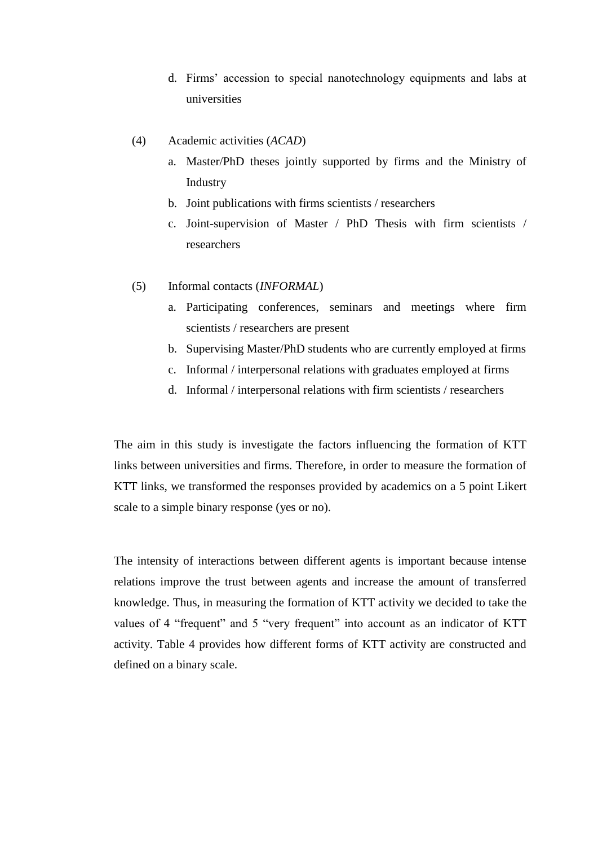- d. Firms" accession to special nanotechnology equipments and labs at universities
- (4) Academic activities (*ACAD*)
	- a. Master/PhD theses jointly supported by firms and the Ministry of Industry
	- b. Joint publications with firms scientists / researchers
	- c. Joint-supervision of Master / PhD Thesis with firm scientists / researchers
- (5) Informal contacts (*INFORMAL*)
	- a. Participating conferences, seminars and meetings where firm scientists / researchers are present
	- b. Supervising Master/PhD students who are currently employed at firms
	- c. Informal / interpersonal relations with graduates employed at firms
	- d. Informal / interpersonal relations with firm scientists / researchers

The aim in this study is investigate the factors influencing the formation of KTT links between universities and firms. Therefore, in order to measure the formation of KTT links, we transformed the responses provided by academics on a 5 point Likert scale to a simple binary response (yes or no).

The intensity of interactions between different agents is important because intense relations improve the trust between agents and increase the amount of transferred knowledge. Thus, in measuring the formation of KTT activity we decided to take the values of 4 "frequent" and 5 "very frequent" into account as an indicator of KTT activity. Table 4 provides how different forms of KTT activity are constructed and defined on a binary scale.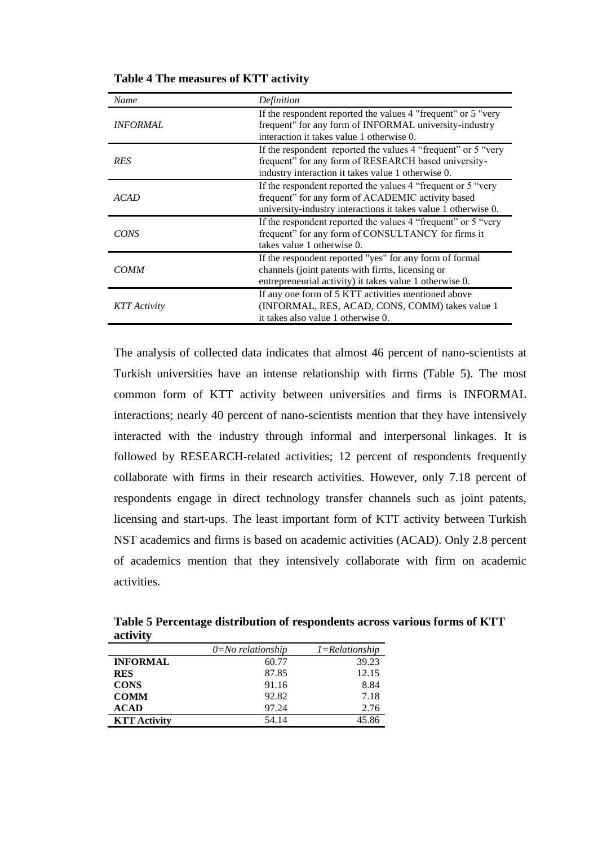| Name                   | Definition                                                                                                                                                                           |
|------------------------|--------------------------------------------------------------------------------------------------------------------------------------------------------------------------------------|
| <i><b>INFORMAL</b></i> | If the respondent reported the values 4 "frequent" or 5 "very<br>frequent" for any form of INFORMAL university-industry<br>interaction it takes value 1 otherwise 0.                 |
| <b>RES</b>             | If the respondent reported the values 4 "frequent" or 5 "very<br>frequent" for any form of RESEARCH based university-<br>industry interaction it takes value 1 otherwise 0.          |
| ACAD                   | If the respondent reported the values 4 "frequent or 5 "very"<br>frequent" for any form of ACADEMIC activity based<br>university-industry interactions it takes value 1 otherwise 0. |
| CONS                   | If the respondent reported the values 4 "frequent" or 5 "very<br>frequent" for any form of CONSULTANCY for firms it<br>takes value 1 otherwise 0.                                    |
| <i>COMM</i>            | If the respondent reported "yes" for any form of formal<br>channels (joint patents with firms, licensing or<br>entrepreneurial activity) it takes value 1 otherwise 0.               |
| KTT Activity           | If any one form of 5 KTT activities mentioned above<br>(INFORMAL, RES, ACAD, CONS, COMM) takes value 1<br>it takes also value 1 otherwise 0.                                         |

**Table 4 The measures of KTT activity**

The analysis of collected data indicates that almost 46 percent of nano-scientists at Turkish universities have an intense relationship with firms (Table 5). The most common form of KTT activity between universities and firms is INFORMAL interactions; nearly 40 percent of nano-scientists mention that they have intensively interacted with the industry through informal and interpersonal linkages. It is followed by RESEARCH-related activities; 12 percent of respondents frequently collaborate with firms in their research activities. However, only 7.18 percent of respondents engage in direct technology transfer channels such as joint patents, licensing and start-ups. The least important form of KTT activity between Turkish NST academics and firms is based on academic activities (ACAD). Only 2.8 percent of academics mention that they intensively collaborate with firm on academic activities.

**Table 5 Percentage distribution of respondents across various forms of KTT activity**

|                     | $0 = No$ relationship | $1 = Relationship$ |
|---------------------|-----------------------|--------------------|
| <b>INFORMAL</b>     | 60.77                 | 39.23              |
| <b>RES</b>          | 87.85                 | 12.15              |
| <b>CONS</b>         | 91.16                 | 8.84               |
| <b>COMM</b>         | 92.82                 | 7.18               |
| <b>ACAD</b>         | 97.24                 | 2.76               |
| <b>KTT Activity</b> | 54.14                 | 45.86              |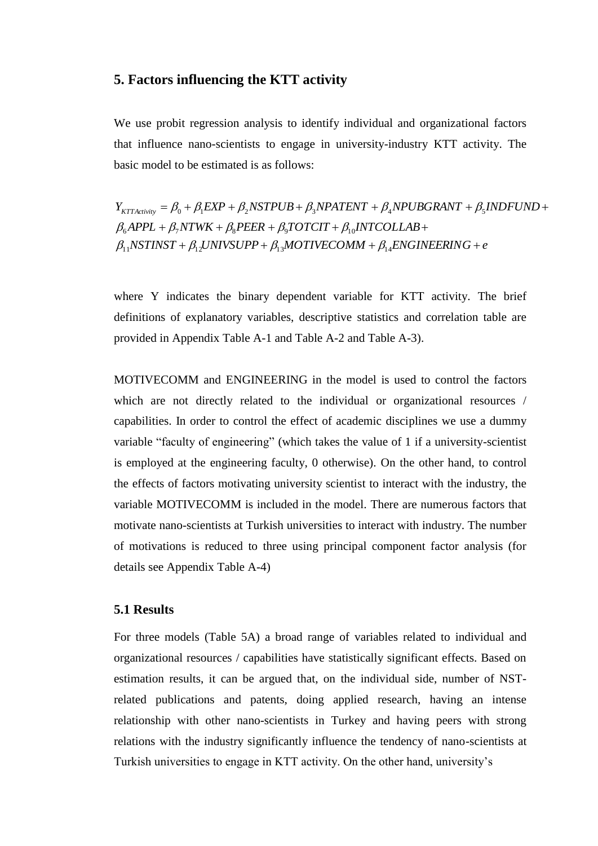## **5. Factors influencing the KTT activity**

We use probit regression analysis to identify individual and organizational factors that influence nano-scientists to engage in university-industry KTT activity. The basic model to be estimated is as follows:

 $NSTINST + \beta_{12} UNIVSUPP + \beta_{13} MOTIVECOMM + \beta_{14} ENGINEERING + e$  $\beta_6$ *APPL* +  $\beta_7$ *NTWK* +  $\beta_8$ *PEER* +  $\beta_9$ *TOTCIT* +  $\beta_{10}$ *INTCOLLAB* +  $Y_{KTActivity} = \beta_0 + \beta_1 EXP + \beta_2 NSFPUB + \beta_3 NPATENT + \beta_4 NPUBGRANT + \beta_5 INDFUND +$ <br>  $\beta_6 APPL + \beta_7 NTWK + \beta_8 PER + \beta_9 TOTCT + \beta_{10} INTCOLLAB +$  $\beta_6 APPL + \beta_7 N TWK + \beta_8 P EER + \beta_9 TOTCIT + \beta_{10} IN TCO$ <br> $\beta_{11} NSTINST + \beta_{12} UNIVSUPP + \beta_{13} MOTIVECOMM + \beta_{14}$  $\beta_0 + \beta_1 EXP + \beta_2 NSFPUB + \beta_3 NPATENT + \beta_4 NPUBGRANT + \beta_5$  $\beta_{11}$ NSTINST +  $\beta_{12}$ UNIVSUPP +  $\beta_{13}$ MOTIVECOMM +  $\beta_{1}$ 

where Y indicates the binary dependent variable for KTT activity. The brief definitions of explanatory variables, descriptive statistics and correlation table are provided in Appendix Table A-1 and Table A-2 and Table A-3).

MOTIVECOMM and ENGINEERING in the model is used to control the factors which are not directly related to the individual or organizational resources / capabilities. In order to control the effect of academic disciplines we use a dummy variable "faculty of engineering" (which takes the value of 1 if a university-scientist is employed at the engineering faculty, 0 otherwise). On the other hand, to control the effects of factors motivating university scientist to interact with the industry, the variable MOTIVECOMM is included in the model. There are numerous factors that motivate nano-scientists at Turkish universities to interact with industry. The number of motivations is reduced to three using principal component factor analysis (for details see Appendix Table A-4)

## **5.1 Results**

For three models (Table 5A) a broad range of variables related to individual and organizational resources / capabilities have statistically significant effects. Based on estimation results, it can be argued that, on the individual side, number of NSTrelated publications and patents, doing applied research, having an intense relationship with other nano-scientists in Turkey and having peers with strong relations with the industry significantly influence the tendency of nano-scientists at Turkish universities to engage in KTT activity. On the other hand, university"s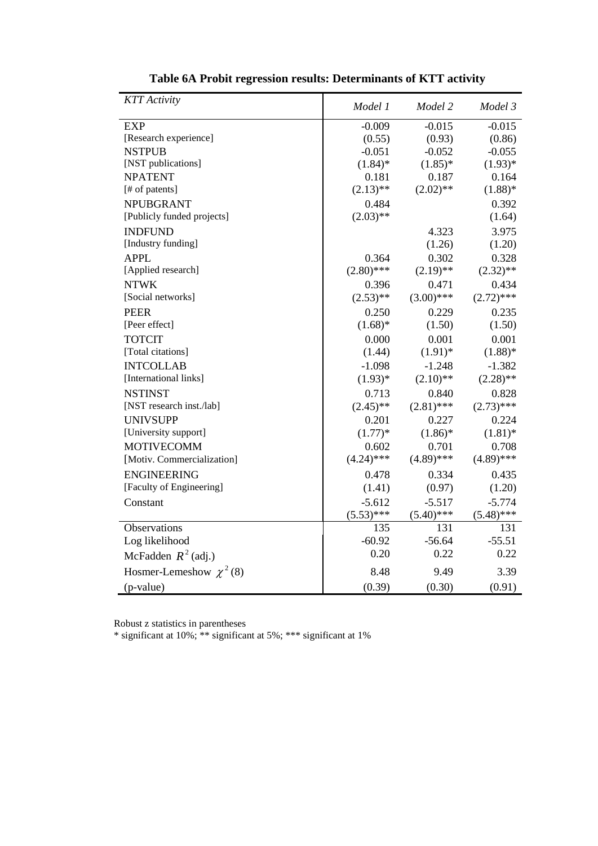| <b>KTT</b> Activity          | Model 1      | Model 2      | Model 3      |
|------------------------------|--------------|--------------|--------------|
| <b>EXP</b>                   | $-0.009$     | $-0.015$     | $-0.015$     |
| [Research experience]        | (0.55)       | (0.93)       | (0.86)       |
| <b>NSTPUB</b>                | $-0.051$     | $-0.052$     | $-0.055$     |
| [NST publications]           | $(1.84)$ *   | $(1.85)^*$   | $(1.93)*$    |
| <b>NPATENT</b>               | 0.181        | 0.187        | 0.164        |
| [# of patents]               | $(2.13)$ **  | $(2.02)$ **  | $(1.88)$ *   |
| <b>NPUBGRANT</b>             | 0.484        |              | 0.392        |
| [Publicly funded projects]   | $(2.03)$ **  |              | (1.64)       |
| <b>INDFUND</b>               |              | 4.323        | 3.975        |
| [Industry funding]           |              | (1.26)       | (1.20)       |
| <b>APPL</b>                  | 0.364        | 0.302        | 0.328        |
| [Applied research]           | $(2.80)$ *** | $(2.19)$ **  | $(2.32)$ **  |
| <b>NTWK</b>                  | 0.396        | 0.471        | 0.434        |
| [Social networks]            | $(2.53)$ **  | $(3.00)$ *** | $(2.72)$ *** |
| <b>PEER</b>                  | 0.250        | 0.229        | 0.235        |
| [Peer effect]                | $(1.68)$ *   | (1.50)       | (1.50)       |
| <b>TOTCIT</b>                | 0.000        | 0.001        | 0.001        |
| [Total citations]            | (1.44)       | $(1.91)$ *   | $(1.88)$ *   |
| <b>INTCOLLAB</b>             | $-1.098$     | $-1.248$     | $-1.382$     |
| [International links]        | $(1.93)*$    | $(2.10)$ **  | $(2.28)$ **  |
| <b>NSTINST</b>               | 0.713        | 0.840        | 0.828        |
| [NST research inst./lab]     | $(2.45)$ **  | $(2.81)$ *** | $(2.73)$ *** |
| <b>UNIVSUPP</b>              | 0.201        | 0.227        | 0.224        |
| [University support]         | $(1.77)*$    | $(1.86)$ *   | $(1.81)$ *   |
| <b>MOTIVECOMM</b>            | 0.602        | 0.701        | 0.708        |
| [Motiv. Commercialization]   | $(4.24)$ *** | $(4.89)$ *** | $(4.89)$ *** |
| <b>ENGINEERING</b>           | 0.478        | 0.334        | 0.435        |
| [Faculty of Engineering]     | (1.41)       | (0.97)       | (1.20)       |
| Constant                     | $-5.612$     | $-5.517$     | $-5.774$     |
|                              | $(5.53)$ *** | $(5.40)$ *** | $(5.48)$ *** |
| Observations                 | 135          | 131          | 131          |
| Log likelihood               | $-60.92$     | $-56.64$     | $-55.51$     |
| McFadden $R^2$ (adj.)        | 0.20         | 0.22         | 0.22         |
| Hosmer-Lemeshow $\chi^2$ (8) | 8.48         | 9.49         | 3.39         |
| (p-value)                    | (0.39)       | (0.30)       | (0.91)       |

**Table 6A Probit regression results: Determinants of KTT activity**

Robust z statistics in parentheses

\* significant at 10%; \*\* significant at 5%; \*\*\* significant at 1%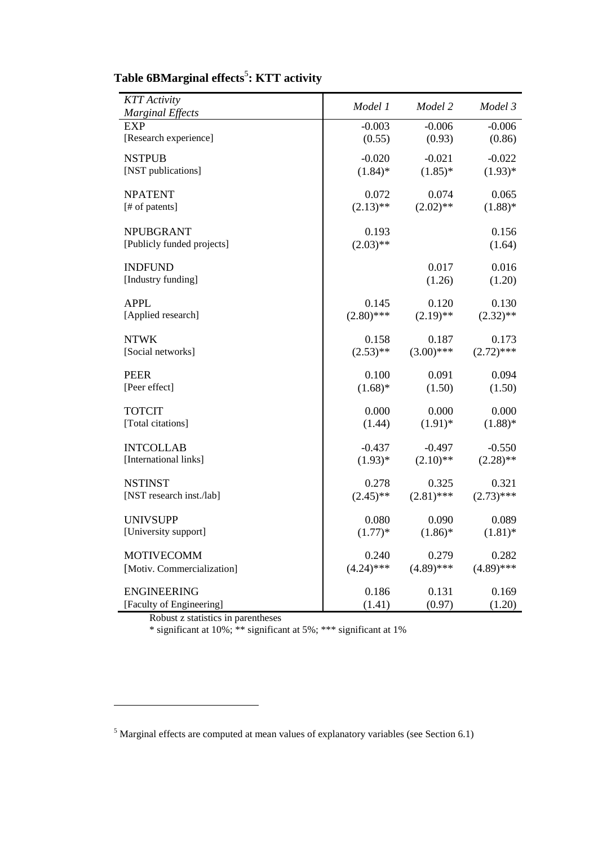| <b>KTT</b> Activity                     | Model 1            | Model 2      | Model 3      |
|-----------------------------------------|--------------------|--------------|--------------|
| <b>Marginal Effects</b><br><b>EXP</b>   | $-0.003$           | $-0.006$     | $-0.006$     |
| [Research experience]                   | (0.55)             | (0.93)       | (0.86)       |
|                                         |                    |              |              |
| <b>NSTPUB</b><br>[NST publications]     | $-0.020$           | $-0.021$     | $-0.022$     |
|                                         | $(1.84)$ *         | $(1.85)^*$   | $(1.93)*$    |
| <b>NPATENT</b>                          | 0.072              | 0.074        | 0.065        |
| [# of patents]                          | $(2.13)$ **        | $(2.02)$ **  | $(1.88)$ *   |
| <b>NPUBGRANT</b>                        | 0.193              |              | 0.156        |
| [Publicly funded projects]              | $(2.03)$ **        |              | (1.64)       |
|                                         |                    |              |              |
| <b>INDFUND</b>                          |                    | 0.017        | 0.016        |
| [Industry funding]                      |                    | (1.26)       | (1.20)       |
| <b>APPL</b>                             | 0.145              | 0.120        | 0.130        |
| [Applied research]                      | $(2.80)$ ***       | $(2.19)$ **  | $(2.32)$ **  |
|                                         |                    |              |              |
| <b>NTWK</b><br>[Social networks]        | 0.158              | 0.187        | 0.173        |
|                                         | $(2.53)$ **        | $(3.00)$ *** | $(2.72)$ *** |
| <b>PEER</b>                             | 0.100              | 0.091        | 0.094        |
| [Peer effect]                           | $(1.68)$ *         | (1.50)       | (1.50)       |
| <b>TOTCIT</b>                           | 0.000              | 0.000        | 0.000        |
| [Total citations]                       | (1.44)             | $(1.91)$ *   | $(1.88)$ *   |
|                                         |                    |              |              |
| <b>INTCOLLAB</b>                        | $-0.437$           | $-0.497$     | $-0.550$     |
| [International links]                   | $(1.93)*$          | $(2.10)$ **  | $(2.28)$ **  |
| <b>NSTINST</b>                          | 0.278              | 0.325        | 0.321        |
| [NST research inst./lab]                | $(2.45)$ **        | $(2.81)$ *** | $(2.73)$ *** |
|                                         |                    |              |              |
| <b>UNIVSUPP</b><br>[University support] | 0.080<br>$(1.77)*$ | 0.090        | 0.089        |
|                                         |                    | $(1.86)$ *   | $(1.81)$ *   |
| <b>MOTIVECOMM</b>                       | 0.240              | 0.279        | 0.282        |
| [Motiv. Commercialization]              | $(4.24)$ ***       | $(4.89)$ *** | $(4.89)$ *** |
| <b>ENGINEERING</b>                      | 0.186              | 0.131        | 0.169        |
| [Faculty of Engineering]                | (1.41)             | (0.97)       | (1.20)       |

## **Table 6BMarginal effects**<sup>5</sup> **: KTT activity**

Robust z statistics in parentheses

 $\overline{a}$ 

\* significant at 10%; \*\* significant at 5%; \*\*\* significant at 1%

<sup>5</sup> Marginal effects are computed at mean values of explanatory variables (see Section 6.1)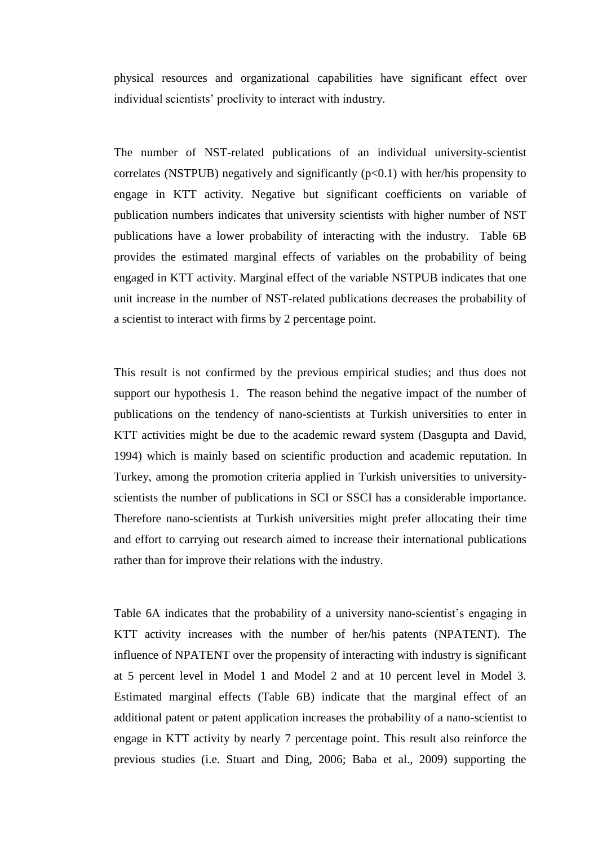physical resources and organizational capabilities have significant effect over individual scientists" proclivity to interact with industry.

The number of NST-related publications of an individual university-scientist correlates (NSTPUB) negatively and significantly  $(p<0.1)$  with her/his propensity to engage in KTT activity. Negative but significant coefficients on variable of publication numbers indicates that university scientists with higher number of NST publications have a lower probability of interacting with the industry. Table 6B provides the estimated marginal effects of variables on the probability of being engaged in KTT activity. Marginal effect of the variable NSTPUB indicates that one unit increase in the number of NST-related publications decreases the probability of a scientist to interact with firms by 2 percentage point.

This result is not confirmed by the previous empirical studies; and thus does not support our hypothesis 1. The reason behind the negative impact of the number of publications on the tendency of nano-scientists at Turkish universities to enter in KTT activities might be due to the academic reward system (Dasgupta and David, 1994) which is mainly based on scientific production and academic reputation. In Turkey, among the promotion criteria applied in Turkish universities to universityscientists the number of publications in SCI or SSCI has a considerable importance. Therefore nano-scientists at Turkish universities might prefer allocating their time and effort to carrying out research aimed to increase their international publications rather than for improve their relations with the industry.

Table 6A indicates that the probability of a university nano-scientist's engaging in KTT activity increases with the number of her/his patents (NPATENT). The influence of NPATENT over the propensity of interacting with industry is significant at 5 percent level in Model 1 and Model 2 and at 10 percent level in Model 3. Estimated marginal effects (Table 6B) indicate that the marginal effect of an additional patent or patent application increases the probability of a nano-scientist to engage in KTT activity by nearly 7 percentage point. This result also reinforce the previous studies (i.e. Stuart and Ding, 2006; Baba et al., 2009) supporting the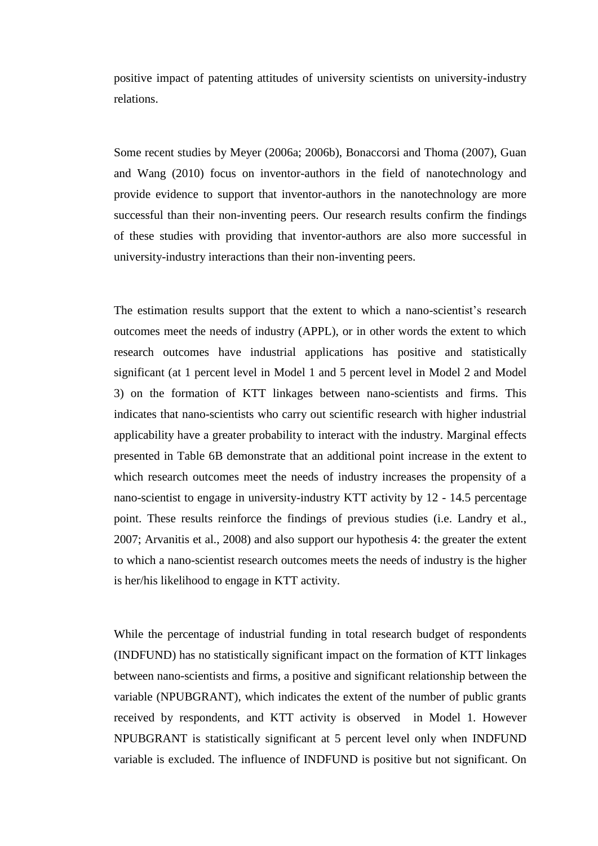positive impact of patenting attitudes of university scientists on university-industry relations.

Some recent studies by Meyer (2006a; 2006b), Bonaccorsi and Thoma (2007), Guan and Wang (2010) focus on inventor-authors in the field of nanotechnology and provide evidence to support that inventor-authors in the nanotechnology are more successful than their non-inventing peers. Our research results confirm the findings of these studies with providing that inventor-authors are also more successful in university-industry interactions than their non-inventing peers.

The estimation results support that the extent to which a nano-scientist's research outcomes meet the needs of industry (APPL), or in other words the extent to which research outcomes have industrial applications has positive and statistically significant (at 1 percent level in Model 1 and 5 percent level in Model 2 and Model 3) on the formation of KTT linkages between nano-scientists and firms. This indicates that nano-scientists who carry out scientific research with higher industrial applicability have a greater probability to interact with the industry. Marginal effects presented in Table 6B demonstrate that an additional point increase in the extent to which research outcomes meet the needs of industry increases the propensity of a nano-scientist to engage in university-industry KTT activity by 12 - 14.5 percentage point. These results reinforce the findings of previous studies (i.e. Landry et al., 2007; Arvanitis et al., 2008) and also support our hypothesis 4: the greater the extent to which a nano-scientist research outcomes meets the needs of industry is the higher is her/his likelihood to engage in KTT activity.

While the percentage of industrial funding in total research budget of respondents (INDFUND) has no statistically significant impact on the formation of KTT linkages between nano-scientists and firms, a positive and significant relationship between the variable (NPUBGRANT), which indicates the extent of the number of public grants received by respondents, and KTT activity is observed in Model 1. However NPUBGRANT is statistically significant at 5 percent level only when INDFUND variable is excluded. The influence of INDFUND is positive but not significant. On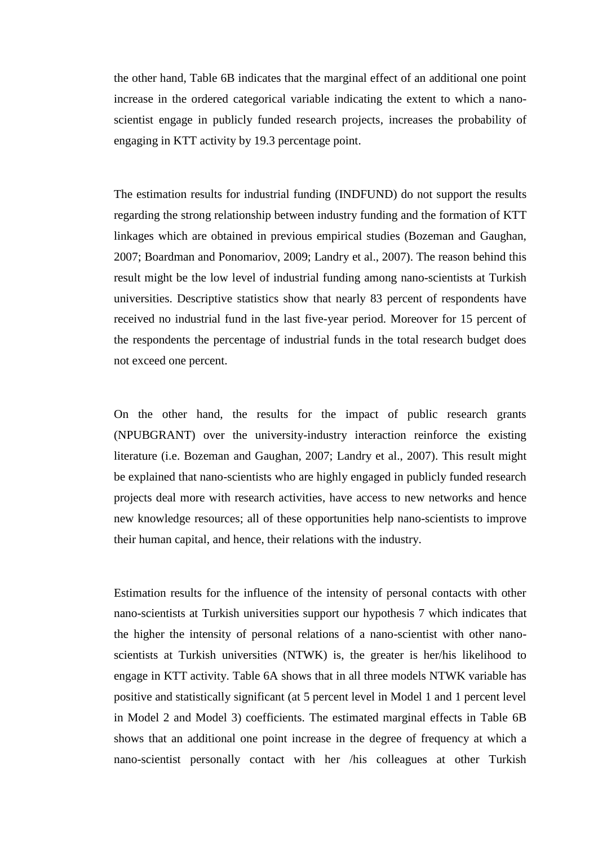the other hand, Table 6B indicates that the marginal effect of an additional one point increase in the ordered categorical variable indicating the extent to which a nanoscientist engage in publicly funded research projects, increases the probability of engaging in KTT activity by 19.3 percentage point.

The estimation results for industrial funding (INDFUND) do not support the results regarding the strong relationship between industry funding and the formation of KTT linkages which are obtained in previous empirical studies (Bozeman and Gaughan, 2007; Boardman and Ponomariov, 2009; Landry et al., 2007). The reason behind this result might be the low level of industrial funding among nano-scientists at Turkish universities. Descriptive statistics show that nearly 83 percent of respondents have received no industrial fund in the last five-year period. Moreover for 15 percent of the respondents the percentage of industrial funds in the total research budget does not exceed one percent.

On the other hand, the results for the impact of public research grants (NPUBGRANT) over the university-industry interaction reinforce the existing literature (i.e. Bozeman and Gaughan, 2007; Landry et al., 2007). This result might be explained that nano-scientists who are highly engaged in publicly funded research projects deal more with research activities, have access to new networks and hence new knowledge resources; all of these opportunities help nano-scientists to improve their human capital, and hence, their relations with the industry.

Estimation results for the influence of the intensity of personal contacts with other nano-scientists at Turkish universities support our hypothesis 7 which indicates that the higher the intensity of personal relations of a nano-scientist with other nanoscientists at Turkish universities (NTWK) is, the greater is her/his likelihood to engage in KTT activity. Table 6A shows that in all three models NTWK variable has positive and statistically significant (at 5 percent level in Model 1 and 1 percent level in Model 2 and Model 3) coefficients. The estimated marginal effects in Table 6B shows that an additional one point increase in the degree of frequency at which a nano-scientist personally contact with her /his colleagues at other Turkish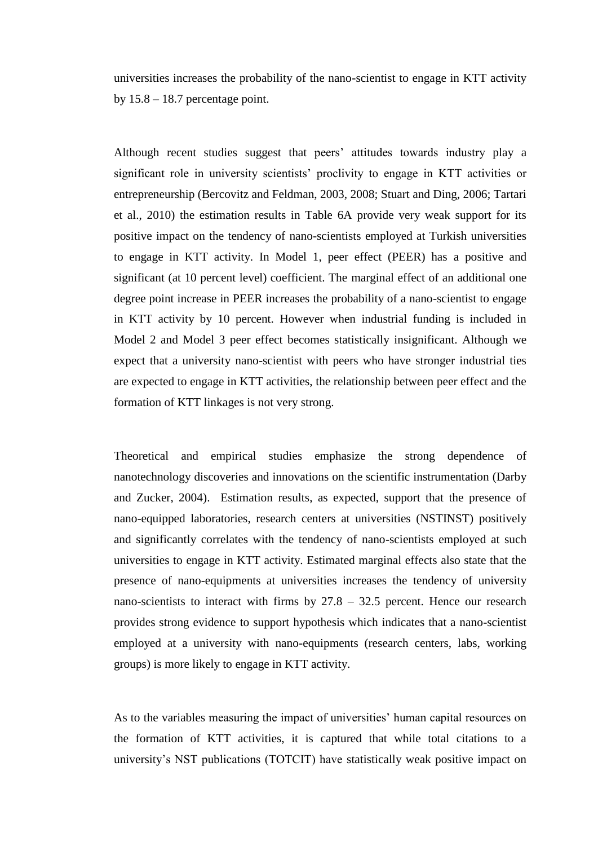universities increases the probability of the nano-scientist to engage in KTT activity by  $15.8 - 18.7$  percentage point.

Although recent studies suggest that peers' attitudes towards industry play a significant role in university scientists' proclivity to engage in KTT activities or entrepreneurship (Bercovitz and Feldman, 2003, 2008; Stuart and Ding, 2006; Tartari et al., 2010) the estimation results in Table 6A provide very weak support for its positive impact on the tendency of nano-scientists employed at Turkish universities to engage in KTT activity. In Model 1, peer effect (PEER) has a positive and significant (at 10 percent level) coefficient. The marginal effect of an additional one degree point increase in PEER increases the probability of a nano-scientist to engage in KTT activity by 10 percent. However when industrial funding is included in Model 2 and Model 3 peer effect becomes statistically insignificant. Although we expect that a university nano-scientist with peers who have stronger industrial ties are expected to engage in KTT activities, the relationship between peer effect and the formation of KTT linkages is not very strong.

Theoretical and empirical studies emphasize the strong dependence of nanotechnology discoveries and innovations on the scientific instrumentation (Darby and Zucker, 2004). Estimation results, as expected, support that the presence of nano-equipped laboratories, research centers at universities (NSTINST) positively and significantly correlates with the tendency of nano-scientists employed at such universities to engage in KTT activity. Estimated marginal effects also state that the presence of nano-equipments at universities increases the tendency of university nano-scientists to interact with firms by  $27.8 - 32.5$  percent. Hence our research provides strong evidence to support hypothesis which indicates that a nano-scientist employed at a university with nano-equipments (research centers, labs, working groups) is more likely to engage in KTT activity.

As to the variables measuring the impact of universities' human capital resources on the formation of KTT activities, it is captured that while total citations to a university"s NST publications (TOTCIT) have statistically weak positive impact on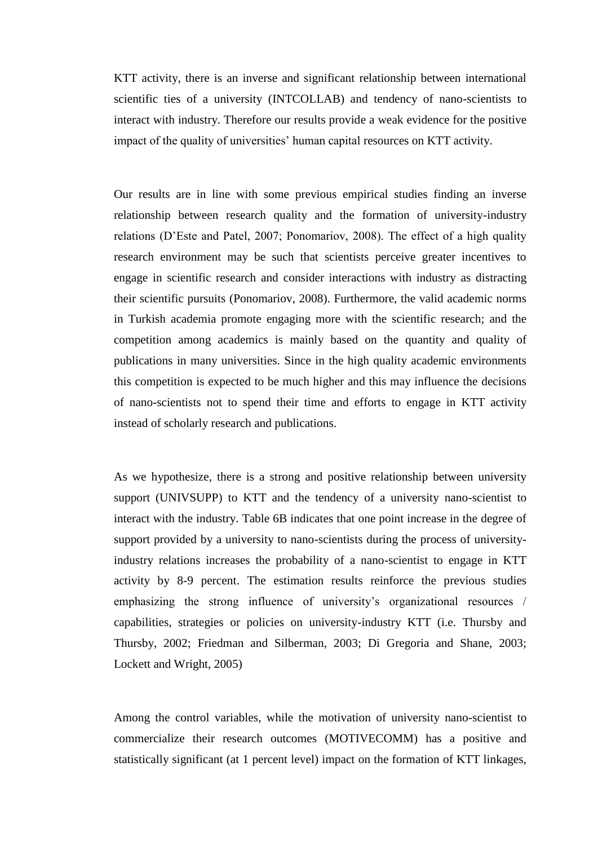KTT activity, there is an inverse and significant relationship between international scientific ties of a university (INTCOLLAB) and tendency of nano-scientists to interact with industry. Therefore our results provide a weak evidence for the positive impact of the quality of universities' human capital resources on KTT activity.

Our results are in line with some previous empirical studies finding an inverse relationship between research quality and the formation of university-industry relations (D"Este and Patel, 2007; Ponomariov, 2008). The effect of a high quality research environment may be such that scientists perceive greater incentives to engage in scientific research and consider interactions with industry as distracting their scientific pursuits (Ponomariov, 2008). Furthermore, the valid academic norms in Turkish academia promote engaging more with the scientific research; and the competition among academics is mainly based on the quantity and quality of publications in many universities. Since in the high quality academic environments this competition is expected to be much higher and this may influence the decisions of nano-scientists not to spend their time and efforts to engage in KTT activity instead of scholarly research and publications.

As we hypothesize, there is a strong and positive relationship between university support (UNIVSUPP) to KTT and the tendency of a university nano-scientist to interact with the industry. Table 6B indicates that one point increase in the degree of support provided by a university to nano-scientists during the process of universityindustry relations increases the probability of a nano-scientist to engage in KTT activity by 8-9 percent. The estimation results reinforce the previous studies emphasizing the strong influence of university's organizational resources / capabilities, strategies or policies on university-industry KTT (i.e. Thursby and Thursby, 2002; Friedman and Silberman, 2003; Di Gregoria and Shane, 2003; Lockett and Wright, 2005)

Among the control variables, while the motivation of university nano-scientist to commercialize their research outcomes (MOTIVECOMM) has a positive and statistically significant (at 1 percent level) impact on the formation of KTT linkages,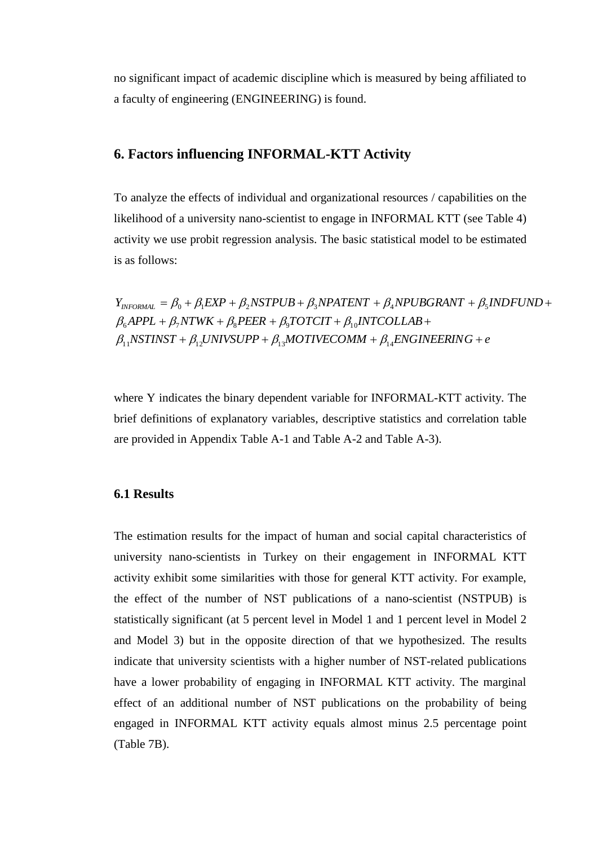no significant impact of academic discipline which is measured by being affiliated to a faculty of engineering (ENGINEERING) is found.

## **6. Factors influencing INFORMAL-KTT Activity**

To analyze the effects of individual and organizational resources / capabilities on the likelihood of a university nano-scientist to engage in INFORMAL KTT (see Table 4) activity we use probit regression analysis. The basic statistical model to be estimated is as follows:

 $\beta_{11}$ NSTINST +  $\beta_{12}$ UNIVSUPP +  $\beta_{13}$ MOTIVECOMM +  $\beta_{14}$ ENGINEERING + e  $\beta_6$ APPL +  $\beta_7$ NTWK +  $\beta_8$ PEER +  $\beta_9$ TOTCIT +  $\beta_{10}$ INTCOLLAB +  $\beta_{11}$ NSTINST +  $\beta_{12}$ UNIVSUPP +  $\beta_{13}$ MOTIVECOMM +  $\beta_{14}$ ENGIN  $Y_{INFORMAL} = \beta_0 + \beta_1 EXP + \beta_2 NSFPUB + \beta_3 NPATENT + \beta_4 NPUBGRANT + \beta_5 INDFUND +$ <br>  $\beta_6 APPL + \beta_7 NTWK + \beta_8PEER + \beta_9 TOTCT + \beta_{10} INTCOLLAB +$  $\beta_0 + \beta_1 \textit{EXP} + \beta_2 \textit{NSTPUB} + \beta_3 \textit{NPATENT} + \beta_4 \textit{NPUBGRANT} + \beta_5$ 

where Y indicates the binary dependent variable for INFORMAL-KTT activity. The brief definitions of explanatory variables, descriptive statistics and correlation table are provided in Appendix Table A-1 and Table A-2 and Table A-3).

## **6.1 Results**

The estimation results for the impact of human and social capital characteristics of university nano-scientists in Turkey on their engagement in INFORMAL KTT activity exhibit some similarities with those for general KTT activity. For example, the effect of the number of NST publications of a nano-scientist (NSTPUB) is statistically significant (at 5 percent level in Model 1 and 1 percent level in Model 2 and Model 3) but in the opposite direction of that we hypothesized. The results indicate that university scientists with a higher number of NST-related publications have a lower probability of engaging in INFORMAL KTT activity. The marginal effect of an additional number of NST publications on the probability of being engaged in INFORMAL KTT activity equals almost minus 2.5 percentage point (Table 7B).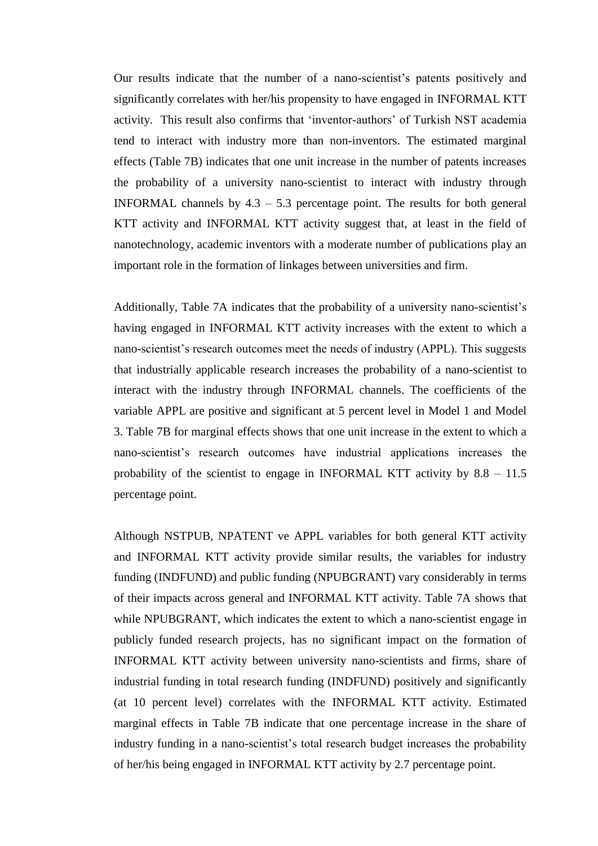Our results indicate that the number of a nano-scientist's patents positively and significantly correlates with her/his propensity to have engaged in INFORMAL KTT activity. This result also confirms that "inventor-authors" of Turkish NST academia tend to interact with industry more than non-inventors. The estimated marginal effects (Table 7B) indicates that one unit increase in the number of patents increases the probability of a university nano-scientist to interact with industry through INFORMAL channels by  $4.3 - 5.3$  percentage point. The results for both general KTT activity and INFORMAL KTT activity suggest that, at least in the field of nanotechnology, academic inventors with a moderate number of publications play an important role in the formation of linkages between universities and firm.

Additionally, Table 7A indicates that the probability of a university nano-scientist's having engaged in INFORMAL KTT activity increases with the extent to which a nano-scientist's research outcomes meet the needs of industry (APPL). This suggests that industrially applicable research increases the probability of a nano-scientist to interact with the industry through INFORMAL channels. The coefficients of the variable APPL are positive and significant at 5 percent level in Model 1 and Model 3. Table 7B for marginal effects shows that one unit increase in the extent to which a nano-scientist"s research outcomes have industrial applications increases the probability of the scientist to engage in INFORMAL KTT activity by 8.8 – 11.5 percentage point.

Although NSTPUB, NPATENT ve APPL variables for both general KTT activity and INFORMAL KTT activity provide similar results, the variables for industry funding (INDFUND) and public funding (NPUBGRANT) vary considerably in terms of their impacts across general and INFORMAL KTT activity. Table 7A shows that while NPUBGRANT, which indicates the extent to which a nano-scientist engage in publicly funded research projects, has no significant impact on the formation of INFORMAL KTT activity between university nano-scientists and firms, share of industrial funding in total research funding (INDFUND) positively and significantly (at 10 percent level) correlates with the INFORMAL KTT activity. Estimated marginal effects in Table 7B indicate that one percentage increase in the share of industry funding in a nano-scientist"s total research budget increases the probability of her/his being engaged in INFORMAL KTT activity by 2.7 percentage point.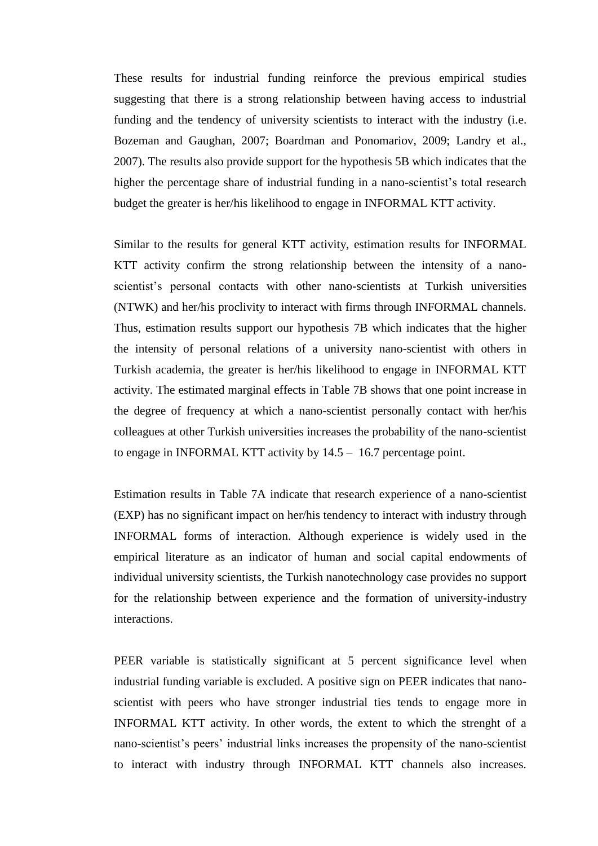These results for industrial funding reinforce the previous empirical studies suggesting that there is a strong relationship between having access to industrial funding and the tendency of university scientists to interact with the industry (i.e. Bozeman and Gaughan, 2007; Boardman and Ponomariov, 2009; Landry et al., 2007). The results also provide support for the hypothesis 5B which indicates that the higher the percentage share of industrial funding in a nano-scientist's total research budget the greater is her/his likelihood to engage in INFORMAL KTT activity.

Similar to the results for general KTT activity, estimation results for INFORMAL KTT activity confirm the strong relationship between the intensity of a nanoscientist's personal contacts with other nano-scientists at Turkish universities (NTWK) and her/his proclivity to interact with firms through INFORMAL channels. Thus, estimation results support our hypothesis 7B which indicates that the higher the intensity of personal relations of a university nano-scientist with others in Turkish academia, the greater is her/his likelihood to engage in INFORMAL KTT activity. The estimated marginal effects in Table 7B shows that one point increase in the degree of frequency at which a nano-scientist personally contact with her/his colleagues at other Turkish universities increases the probability of the nano-scientist to engage in INFORMAL KTT activity by 14.5 – 16.7 percentage point.

Estimation results in Table 7A indicate that research experience of a nano-scientist (EXP) has no significant impact on her/his tendency to interact with industry through INFORMAL forms of interaction. Although experience is widely used in the empirical literature as an indicator of human and social capital endowments of individual university scientists, the Turkish nanotechnology case provides no support for the relationship between experience and the formation of university-industry interactions.

PEER variable is statistically significant at 5 percent significance level when industrial funding variable is excluded. A positive sign on PEER indicates that nanoscientist with peers who have stronger industrial ties tends to engage more in INFORMAL KTT activity. In other words, the extent to which the strenght of a nano-scientist"s peers" industrial links increases the propensity of the nano-scientist to interact with industry through INFORMAL KTT channels also increases.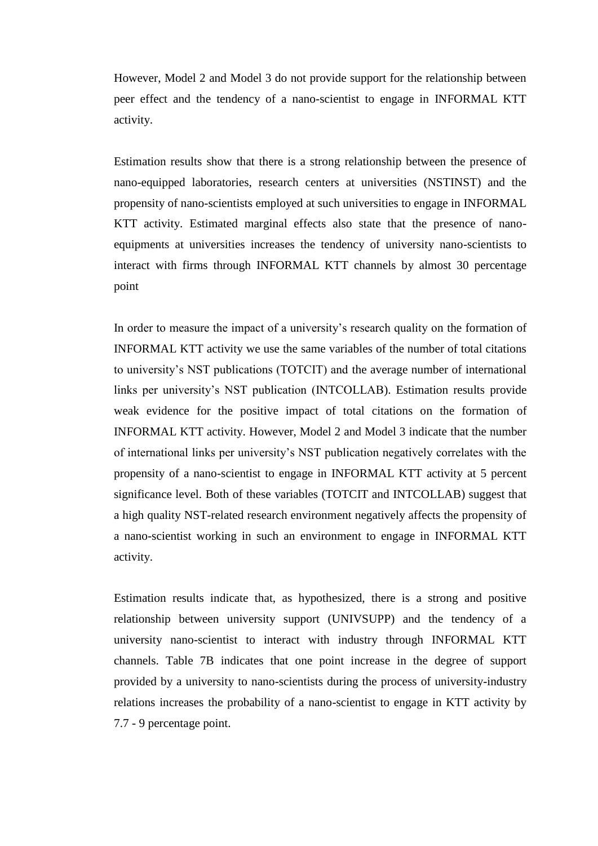However, Model 2 and Model 3 do not provide support for the relationship between peer effect and the tendency of a nano-scientist to engage in INFORMAL KTT activity.

Estimation results show that there is a strong relationship between the presence of nano-equipped laboratories, research centers at universities (NSTINST) and the propensity of nano-scientists employed at such universities to engage in INFORMAL KTT activity. Estimated marginal effects also state that the presence of nanoequipments at universities increases the tendency of university nano-scientists to interact with firms through INFORMAL KTT channels by almost 30 percentage point

In order to measure the impact of a university's research quality on the formation of INFORMAL KTT activity we use the same variables of the number of total citations to university"s NST publications (TOTCIT) and the average number of international links per university"s NST publication (INTCOLLAB). Estimation results provide weak evidence for the positive impact of total citations on the formation of INFORMAL KTT activity. However, Model 2 and Model 3 indicate that the number of international links per university"s NST publication negatively correlates with the propensity of a nano-scientist to engage in INFORMAL KTT activity at 5 percent significance level. Both of these variables (TOTCIT and INTCOLLAB) suggest that a high quality NST-related research environment negatively affects the propensity of a nano-scientist working in such an environment to engage in INFORMAL KTT activity.

Estimation results indicate that, as hypothesized, there is a strong and positive relationship between university support (UNIVSUPP) and the tendency of a university nano-scientist to interact with industry through INFORMAL KTT channels. Table 7B indicates that one point increase in the degree of support provided by a university to nano-scientists during the process of university-industry relations increases the probability of a nano-scientist to engage in KTT activity by 7.7 - 9 percentage point.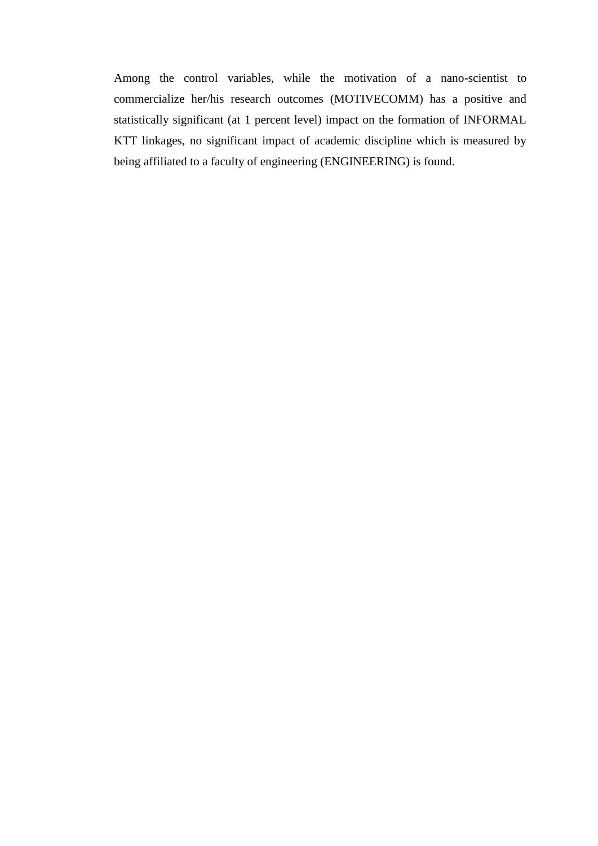Among the control variables, while the motivation of a nano-scientist to commercialize her/his research outcomes (MOTIVECOMM) has a positive and statistically significant (at 1 percent level) impact on the formation of INFORMAL KTT linkages, no significant impact of academic discipline which is measured by being affiliated to a faculty of engineering (ENGINEERING) is found.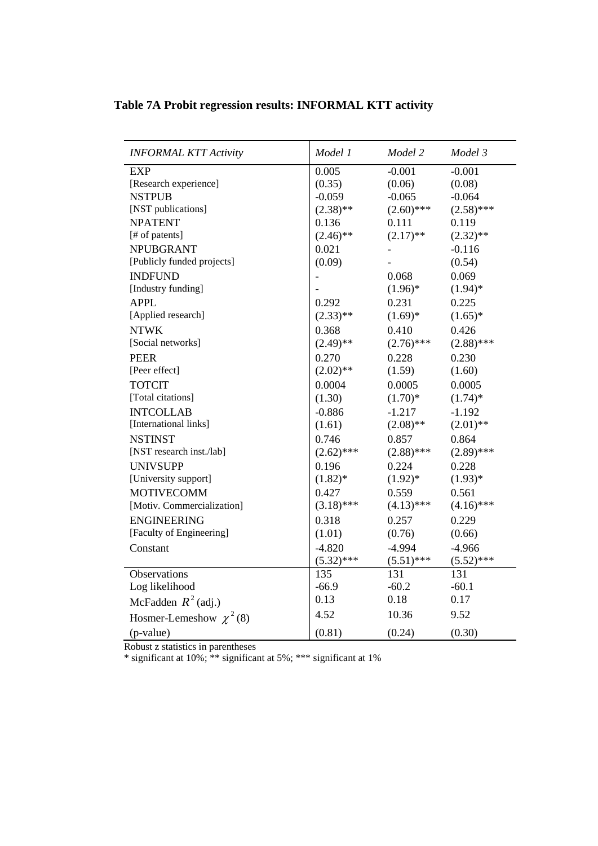|  |  | Table 7A Probit regression results: INFORMAL KTT activity |  |
|--|--|-----------------------------------------------------------|--|
|  |  |                                                           |  |

| <b>INFORMAL KTT Activity</b> | Model 1      | Model 2      | Model 3      |
|------------------------------|--------------|--------------|--------------|
| <b>EXP</b>                   | 0.005        | $-0.001$     | $-0.001$     |
| [Research experience]        | (0.35)       | (0.06)       | (0.08)       |
| <b>NSTPUB</b>                | $-0.059$     | $-0.065$     | $-0.064$     |
| [NST publications]           | $(2.38)$ **  | $(2.60)$ *** | $(2.58)$ *** |
| <b>NPATENT</b>               | 0.136        | 0.111        | 0.119        |
| [# of patents]               | $(2.46)$ **  | $(2.17)$ **  | $(2.32)$ **  |
| <b>NPUBGRANT</b>             | 0.021        |              | $-0.116$     |
| [Publicly funded projects]   | (0.09)       |              | (0.54)       |
| <b>INDFUND</b>               |              | 0.068        | 0.069        |
| [Industry funding]           |              | $(1.96)^*$   | $(1.94)$ *   |
| <b>APPL</b>                  | 0.292        | 0.231        | 0.225        |
| [Applied research]           | $(2.33)$ **  | $(1.69)*$    | $(1.65)^*$   |
| <b>NTWK</b>                  | 0.368        | 0.410        | 0.426        |
| [Social networks]            | $(2.49)$ **  | $(2.76)$ *** | $(2.88)$ *** |
| <b>PEER</b>                  | 0.270        | 0.228        | 0.230        |
| [Peer effect]                | $(2.02)$ **  | (1.59)       | (1.60)       |
| <b>TOTCIT</b>                | 0.0004       | 0.0005       | 0.0005       |
| [Total citations]            | (1.30)       | $(1.70)*$    | $(1.74)^*$   |
| <b>INTCOLLAB</b>             | $-0.886$     | $-1.217$     | $-1.192$     |
| [International links]        | (1.61)       | $(2.08)$ **  | $(2.01)$ **  |
| <b>NSTINST</b>               | 0.746        | 0.857        | 0.864        |
| [NST research inst./lab]     | $(2.62)$ *** | $(2.88)$ *** | $(2.89)$ *** |
| <b>UNIVSUPP</b>              | 0.196        | 0.224        | 0.228        |
| [University support]         | $(1.82)$ *   | $(1.92)*$    | $(1.93)*$    |
| <b>MOTIVECOMM</b>            | 0.427        | 0.559        | 0.561        |
| [Motiv. Commercialization]   | $(3.18)$ *** | $(4.13)$ *** | $(4.16)$ *** |
| <b>ENGINEERING</b>           | 0.318        | 0.257        | 0.229        |
| [Faculty of Engineering]     | (1.01)       | (0.76)       | (0.66)       |
| Constant                     | $-4.820$     | $-4.994$     | $-4.966$     |
|                              | $(5.32)$ *** | $(5.51)$ *** | $(5.52)$ *** |
| Observations                 | 135          | 131          | 131          |
| Log likelihood               | $-66.9$      | $-60.2$      | $-60.1$      |
| McFadden $R^2$ (adj.)        | 0.13         | 0.18         | 0.17         |
| Hosmer-Lemeshow $\chi^2$ (8) | 4.52         | 10.36        | 9.52         |
| (p-value)                    | (0.81)       | (0.24)       | (0.30)       |

Robust z statistics in parentheses

\* significant at 10%; \*\* significant at 5%; \*\*\* significant at 1%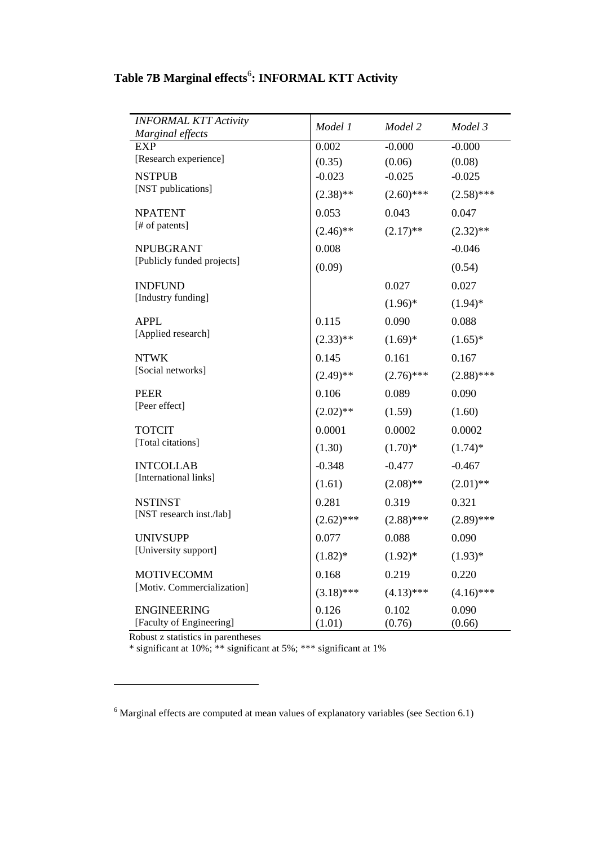| <b>INFORMAL KTT Activity</b>                   | Model 1         | Model 2         | Model 3         |
|------------------------------------------------|-----------------|-----------------|-----------------|
| Marginal effects                               |                 |                 |                 |
| <b>EXP</b>                                     | 0.002           | $-0.000$        | $-0.000$        |
| [Research experience]                          | (0.35)          | (0.06)          | (0.08)          |
| <b>NSTPUB</b><br>[NST publications]            | $-0.023$        | $-0.025$        | $-0.025$        |
|                                                | $(2.38)$ **     | $(2.60)$ ***    | $(2.58)$ ***    |
| <b>NPATENT</b>                                 | 0.053           | 0.043           | 0.047           |
| [# of patents]                                 | $(2.46)$ **     | $(2.17)$ **     | $(2.32)$ **     |
| <b>NPUBGRANT</b>                               | 0.008           |                 | $-0.046$        |
| [Publicly funded projects]                     | (0.09)          |                 | (0.54)          |
| <b>INDFUND</b>                                 |                 | 0.027           | 0.027           |
| [Industry funding]                             |                 | $(1.96)^*$      | $(1.94)$ *      |
| <b>APPL</b>                                    | 0.115           | 0.090           | 0.088           |
| [Applied research]                             | $(2.33)$ **     | $(1.69)*$       | $(1.65)^*$      |
| <b>NTWK</b>                                    | 0.145           | 0.161           | 0.167           |
| [Social networks]                              | $(2.49)$ **     | $(2.76)$ ***    | $(2.88)$ ***    |
| <b>PEER</b>                                    | 0.106           | 0.089           | 0.090           |
| [Peer effect]                                  | $(2.02)$ **     | (1.59)          | (1.60)          |
| <b>TOTCIT</b>                                  | 0.0001          | 0.0002          | 0.0002          |
| [Total citations]                              | (1.30)          | $(1.70)*$       | $(1.74)^*$      |
| <b>INTCOLLAB</b>                               | $-0.348$        | $-0.477$        | $-0.467$        |
| [International links]                          | (1.61)          | $(2.08)$ **     | $(2.01)$ **     |
| <b>NSTINST</b>                                 | 0.281           | 0.319           | 0.321           |
| [NST research inst./lab]                       | $(2.62)$ ***    | $(2.88)$ ***    | $(2.89)$ ***    |
| <b>UNIVSUPP</b>                                | 0.077           | 0.088           | 0.090           |
| [University support]                           | $(1.82)$ *      | $(1.92)^{*}$    | $(1.93)*$       |
| <b>MOTIVECOMM</b>                              | 0.168           | 0.219           | 0.220           |
| [Motiv. Commercialization]                     | $(3.18)$ ***    | $(4.13)$ ***    | $(4.16)$ ***    |
| <b>ENGINEERING</b><br>[Faculty of Engineering] | 0.126<br>(1.01) | 0.102<br>(0.76) | 0.090<br>(0.66) |

## **Table 7B Marginal effects**<sup>6</sup> **: INFORMAL KTT Activity**

Robust z statistics in parentheses

 $\overline{a}$ 

\* significant at 10%; \*\* significant at 5%; \*\*\* significant at 1%

 $6$  Marginal effects are computed at mean values of explanatory variables (see Section 6.1)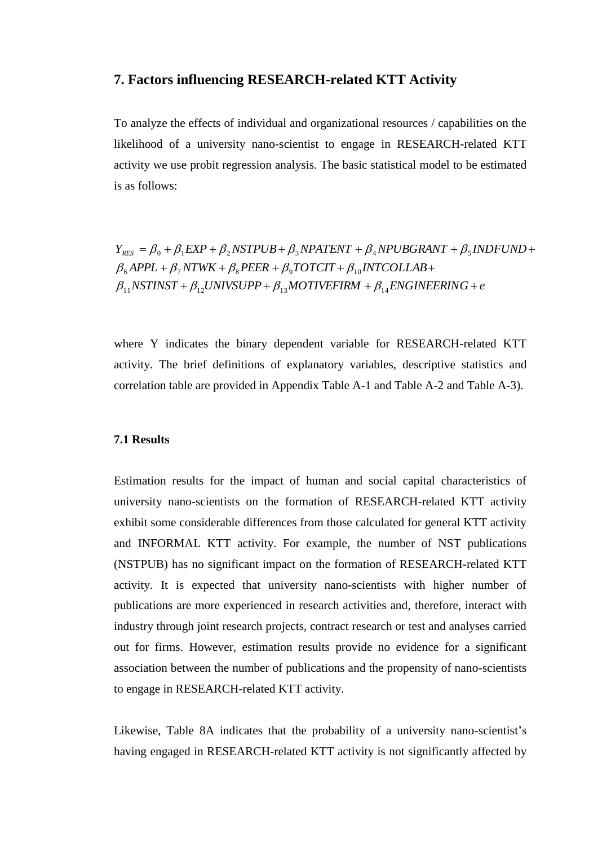## **7. Factors influencing RESEARCH-related KTT Activity**

To analyze the effects of individual and organizational resources / capabilities on the likelihood of a university nano-scientist to engage in RESEARCH-related KTT activity we use probit regression analysis. The basic statistical model to be estimated is as follows:

 $NSTINST + \beta_{12} UNIVSUPP + \beta_{13} MOTIVEFIRM + \beta_{14} ENGINEERING + e$  $\beta_6$ *APPL* +  $\beta_7$ *NTWK* +  $\beta_8$ *PEER* +  $\beta_9$ *TOTCIT* +  $\beta_{10}$ *INTCOLLAB* +  $Y_{RES} = \beta_0 + \beta_1 EXP + \beta_2 NSFPUB + \beta_3 NPATENT + \beta_4 NPUBGRANT + \beta_5 INDFUND +$ <br>  $\beta_6 APPL + \beta_7 NTWK + \beta_8 PER + \beta_9 TOTCIT + \beta_{10} INTCOLLAB +$  $\beta_6$ APPL +  $\beta_7$ NTWK +  $\beta_8$ PEER +  $\beta_9$ TOTCIT +  $\beta_{10}$ INTC<br> $\beta_{11}$ NSTINST +  $\beta_{12}$ UNIVSUPP +  $\beta_{13}$ MOTIVEFIRM +  $\beta_{14}$  $\beta_0 + \beta_1 EXP + \beta_2 NSFPUB + \beta_3 NPATENT + \beta_4 NPUBGRANT + \beta_5$  $\beta_{11}$ NSTINST +  $\beta_{12}$ UNIVSUPP +  $\beta_{13}$ MOTIVEFIRM +  $\beta$ 

where Y indicates the binary dependent variable for RESEARCH-related KTT activity. The brief definitions of explanatory variables, descriptive statistics and correlation table are provided in Appendix Table A-1 and Table A-2 and Table A-3).

#### **7.1 Results**

Estimation results for the impact of human and social capital characteristics of university nano-scientists on the formation of RESEARCH-related KTT activity exhibit some considerable differences from those calculated for general KTT activity and INFORMAL KTT activity. For example, the number of NST publications (NSTPUB) has no significant impact on the formation of RESEARCH-related KTT activity. It is expected that university nano-scientists with higher number of publications are more experienced in research activities and, therefore, interact with industry through joint research projects, contract research or test and analyses carried out for firms. However, estimation results provide no evidence for a significant association between the number of publications and the propensity of nano-scientists to engage in RESEARCH-related KTT activity.

Likewise, Table 8A indicates that the probability of a university nano-scientist's having engaged in RESEARCH-related KTT activity is not significantly affected by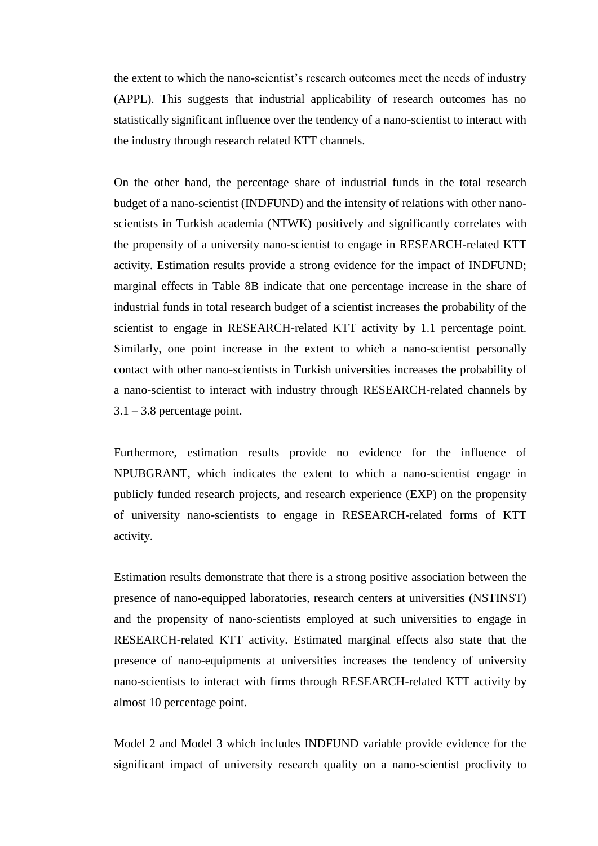the extent to which the nano-scientist"s research outcomes meet the needs of industry (APPL). This suggests that industrial applicability of research outcomes has no statistically significant influence over the tendency of a nano-scientist to interact with the industry through research related KTT channels.

On the other hand, the percentage share of industrial funds in the total research budget of a nano-scientist (INDFUND) and the intensity of relations with other nanoscientists in Turkish academia (NTWK) positively and significantly correlates with the propensity of a university nano-scientist to engage in RESEARCH-related KTT activity. Estimation results provide a strong evidence for the impact of INDFUND; marginal effects in Table 8B indicate that one percentage increase in the share of industrial funds in total research budget of a scientist increases the probability of the scientist to engage in RESEARCH-related KTT activity by 1.1 percentage point. Similarly, one point increase in the extent to which a nano-scientist personally contact with other nano-scientists in Turkish universities increases the probability of a nano-scientist to interact with industry through RESEARCH-related channels by  $3.1 - 3.8$  percentage point.

Furthermore, estimation results provide no evidence for the influence of NPUBGRANT, which indicates the extent to which a nano-scientist engage in publicly funded research projects, and research experience (EXP) on the propensity of university nano-scientists to engage in RESEARCH-related forms of KTT activity.

Estimation results demonstrate that there is a strong positive association between the presence of nano-equipped laboratories, research centers at universities (NSTINST) and the propensity of nano-scientists employed at such universities to engage in RESEARCH-related KTT activity. Estimated marginal effects also state that the presence of nano-equipments at universities increases the tendency of university nano-scientists to interact with firms through RESEARCH-related KTT activity by almost 10 percentage point.

Model 2 and Model 3 which includes INDFUND variable provide evidence for the significant impact of university research quality on a nano-scientist proclivity to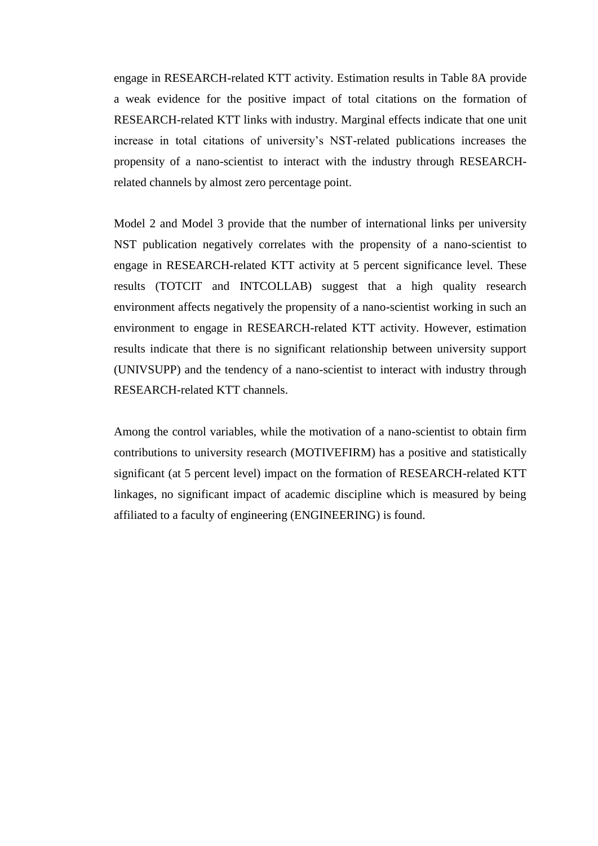engage in RESEARCH-related KTT activity. Estimation results in Table 8A provide a weak evidence for the positive impact of total citations on the formation of RESEARCH-related KTT links with industry. Marginal effects indicate that one unit increase in total citations of university"s NST-related publications increases the propensity of a nano-scientist to interact with the industry through RESEARCHrelated channels by almost zero percentage point.

Model 2 and Model 3 provide that the number of international links per university NST publication negatively correlates with the propensity of a nano-scientist to engage in RESEARCH-related KTT activity at 5 percent significance level. These results (TOTCIT and INTCOLLAB) suggest that a high quality research environment affects negatively the propensity of a nano-scientist working in such an environment to engage in RESEARCH-related KTT activity. However, estimation results indicate that there is no significant relationship between university support (UNIVSUPP) and the tendency of a nano-scientist to interact with industry through RESEARCH-related KTT channels.

Among the control variables, while the motivation of a nano-scientist to obtain firm contributions to university research (MOTIVEFIRM) has a positive and statistically significant (at 5 percent level) impact on the formation of RESEARCH-related KTT linkages, no significant impact of academic discipline which is measured by being affiliated to a faculty of engineering (ENGINEERING) is found.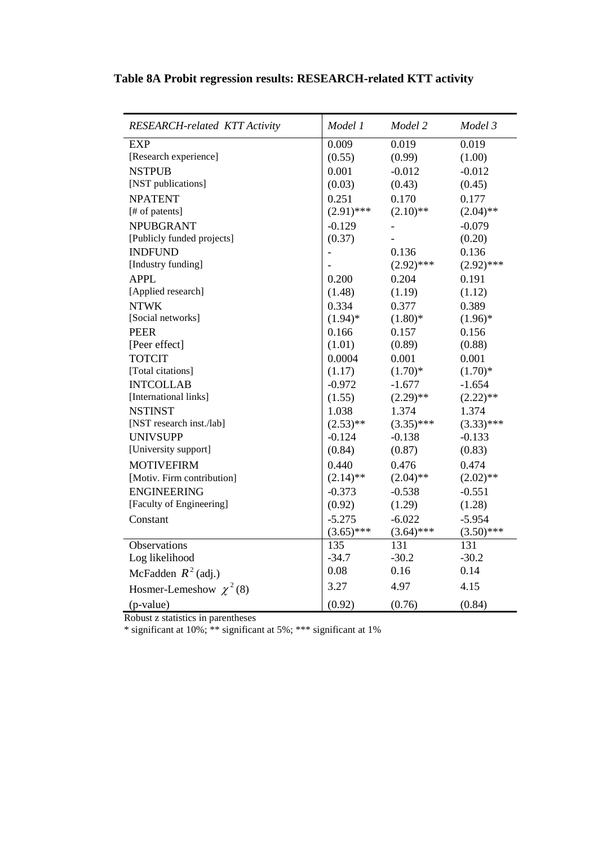| <b>RESEARCH-related KTT Activity</b> | Model 1      | Model 2      | Model 3      |
|--------------------------------------|--------------|--------------|--------------|
| <b>EXP</b>                           | 0.009        | 0.019        | 0.019        |
| [Research experience]                | (0.55)       | (0.99)       | (1.00)       |
| <b>NSTPUB</b>                        | 0.001        | $-0.012$     | $-0.012$     |
| [NST publications]                   | (0.03)       | (0.43)       | (0.45)       |
| <b>NPATENT</b>                       | 0.251        | 0.170        | 0.177        |
| [# of patents]                       | $(2.91)$ *** | $(2.10)$ **  | $(2.04)$ **  |
| <b>NPUBGRANT</b>                     | $-0.129$     |              | $-0.079$     |
| [Publicly funded projects]           | (0.37)       |              | (0.20)       |
| <b>INDFUND</b>                       |              | 0.136        | 0.136        |
| [Industry funding]                   |              | $(2.92)$ *** | $(2.92)$ *** |
| <b>APPL</b>                          | 0.200        | 0.204        | 0.191        |
| [Applied research]                   | (1.48)       | (1.19)       | (1.12)       |
| <b>NTWK</b>                          | 0.334        | 0.377        | 0.389        |
| [Social networks]                    | $(1.94)$ *   | $(1.80)*$    | $(1.96)$ *   |
| <b>PEER</b>                          | 0.166        | 0.157        | 0.156        |
| [Peer effect]                        | (1.01)       | (0.89)       | (0.88)       |
| <b>TOTCIT</b>                        | 0.0004       | 0.001        | 0.001        |
| [Total citations]                    | (1.17)       | $(1.70)*$    | $(1.70)*$    |
| <b>INTCOLLAB</b>                     | $-0.972$     | $-1.677$     | $-1.654$     |
| [International links]                | (1.55)       | $(2.29)$ **  | $(2.22)$ **  |
| <b>NSTINST</b>                       | 1.038        | 1.374        | 1.374        |
| [NST research inst./lab]             | $(2.53)$ **  | $(3.35)$ *** | $(3.33)$ *** |
| <b>UNIVSUPP</b>                      | $-0.124$     | $-0.138$     | $-0.133$     |
| [University support]                 | (0.84)       | (0.87)       | (0.83)       |
| <b>MOTIVEFIRM</b>                    | 0.440        | 0.476        | 0.474        |
| [Motiv. Firm contribution]           | $(2.14)$ **  | $(2.04)$ **  | $(2.02)$ **  |
| <b>ENGINEERING</b>                   | $-0.373$     | $-0.538$     | $-0.551$     |
| [Faculty of Engineering]             | (0.92)       | (1.29)       | (1.28)       |
| Constant                             | $-5.275$     | $-6.022$     | $-5.954$     |
|                                      | $(3.65)$ *** | $(3.64)$ *** | $(3.50)$ *** |
| Observations                         | 135          | 131          | 131          |
| Log likelihood                       | $-34.7$      | $-30.2$      | $-30.2$      |
| McFadden $R^2$ (adj.)                | 0.08         | 0.16         | 0.14         |
| Hosmer-Lemeshow $\chi^2$ (8)         | 3.27         | 4.97         | 4.15         |
| (p-value)                            | (0.92)       | (0.76)       | (0.84)       |

## **Table 8A Probit regression results: RESEARCH-related KTT activity**

Robust z statistics in parentheses

\* significant at 10%; \*\* significant at 5%; \*\*\* significant at 1%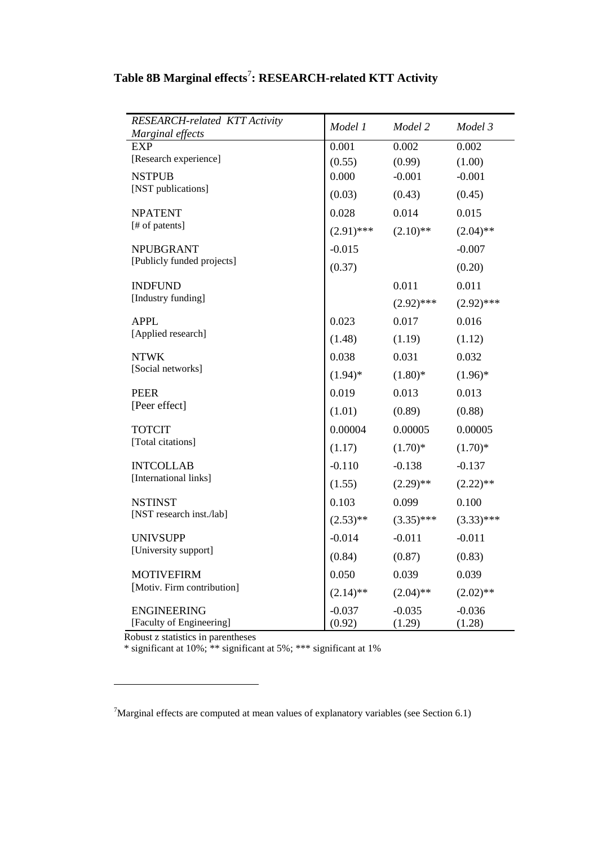| <b>RESEARCH-related KTT Activity</b><br>Marginal effects | Model 1            | Model 2            | Model 3            |
|----------------------------------------------------------|--------------------|--------------------|--------------------|
| <b>EXP</b>                                               | 0.001              | 0.002              | 0.002              |
| [Research experience]                                    | (0.55)             | (0.99)             | (1.00)             |
| <b>NSTPUB</b>                                            | 0.000              | $-0.001$           | $-0.001$           |
| [NST publications]                                       | (0.03)             | (0.43)             | (0.45)             |
| <b>NPATENT</b>                                           | 0.028              | 0.014              | 0.015              |
| [# of patents]                                           | $(2.91)$ ***       | $(2.10)$ **        | $(2.04)$ **        |
| <b>NPUBGRANT</b>                                         | $-0.015$           |                    | $-0.007$           |
| [Publicly funded projects]                               | (0.37)             |                    | (0.20)             |
| <b>INDFUND</b>                                           |                    | 0.011              | 0.011              |
| [Industry funding]                                       |                    | $(2.92)$ ***       | $(2.92)$ ***       |
| <b>APPL</b>                                              | 0.023              | 0.017              | 0.016              |
| [Applied research]                                       | (1.48)             | (1.19)             | (1.12)             |
| <b>NTWK</b>                                              | 0.038              | 0.031              | 0.032              |
| [Social networks]                                        | $(1.94)$ *         | $(1.80)$ *         | $(1.96)^*$         |
| <b>PEER</b>                                              | 0.019              | 0.013              | 0.013              |
| [Peer effect]                                            | (1.01)             | (0.89)             | (0.88)             |
| <b>TOTCIT</b>                                            | 0.00004            | 0.00005            | 0.00005            |
| [Total citations]                                        | (1.17)             | $(1.70)*$          | $(1.70)*$          |
| <b>INTCOLLAB</b>                                         | $-0.110$           | $-0.138$           | $-0.137$           |
| [International links]                                    | (1.55)             | $(2.29)$ **        | $(2.22)$ **        |
| <b>NSTINST</b>                                           | 0.103              | 0.099              | 0.100              |
| [NST research inst./lab]                                 | $(2.53)$ **        | $(3.35)$ ***       | $(3.33)$ ***       |
| <b>UNIVSUPP</b>                                          | $-0.014$           | $-0.011$           | $-0.011$           |
| [University support]                                     | (0.84)             | (0.87)             | (0.83)             |
| <b>MOTIVEFIRM</b>                                        | 0.050              | 0.039              | 0.039              |
| [Motiv. Firm contribution]                               | $(2.14)$ **        | $(2.04)$ **        | $(2.02)$ **        |
| <b>ENGINEERING</b><br>[Faculty of Engineering]           | $-0.037$<br>(0.92) | $-0.035$<br>(1.29) | $-0.036$<br>(1.28) |

## **Table 8B Marginal effects**<sup>7</sup> **: RESEARCH-related KTT Activity**

Robust z statistics in parentheses

 $\overline{a}$ 

\* significant at 10%; \*\* significant at 5%; \*\*\* significant at 1%

J.

<sup>7</sup>Marginal effects are computed at mean values of explanatory variables (see Section 6.1)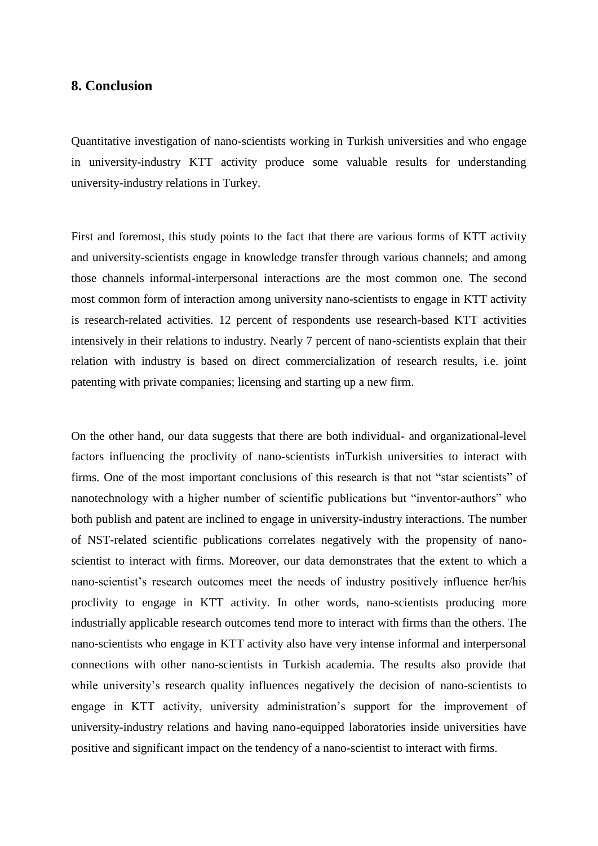## **8. Conclusion**

Quantitative investigation of nano-scientists working in Turkish universities and who engage in university-industry KTT activity produce some valuable results for understanding university-industry relations in Turkey.

First and foremost, this study points to the fact that there are various forms of KTT activity and university-scientists engage in knowledge transfer through various channels; and among those channels informal-interpersonal interactions are the most common one. The second most common form of interaction among university nano-scientists to engage in KTT activity is research-related activities. 12 percent of respondents use research-based KTT activities intensively in their relations to industry. Nearly 7 percent of nano-scientists explain that their relation with industry is based on direct commercialization of research results, i.e. joint patenting with private companies; licensing and starting up a new firm.

On the other hand, our data suggests that there are both individual- and organizational-level factors influencing the proclivity of nano-scientists inTurkish universities to interact with firms. One of the most important conclusions of this research is that not "star scientists" of nanotechnology with a higher number of scientific publications but "inventor-authors" who both publish and patent are inclined to engage in university-industry interactions. The number of NST-related scientific publications correlates negatively with the propensity of nanoscientist to interact with firms. Moreover, our data demonstrates that the extent to which a nano-scientist's research outcomes meet the needs of industry positively influence her/his proclivity to engage in KTT activity. In other words, nano-scientists producing more industrially applicable research outcomes tend more to interact with firms than the others. The nano-scientists who engage in KTT activity also have very intense informal and interpersonal connections with other nano-scientists in Turkish academia. The results also provide that while university's research quality influences negatively the decision of nano-scientists to engage in KTT activity, university administration"s support for the improvement of university-industry relations and having nano-equipped laboratories inside universities have positive and significant impact on the tendency of a nano-scientist to interact with firms.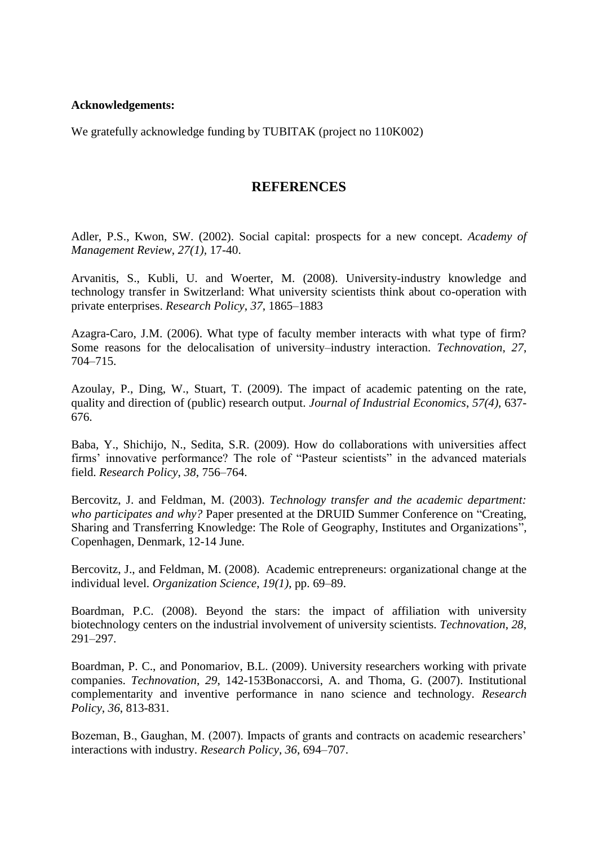#### **Acknowledgements:**

We gratefully acknowledge funding by TUBITAK (project no 110K002)

## **REFERENCES**

Adler, P.S., Kwon, SW. (2002). Social capital: prospects for a new concept. *Academy of Management Review*, *27(1),* 17-40.

Arvanitis, S., Kubli, U. and Woerter, M. (2008). University-industry knowledge and technology transfer in Switzerland: What university scientists think about co-operation with private enterprises. *Research Policy*, *37*, 1865–1883

Azagra-Caro, J.M. (2006). What type of faculty member interacts with what type of firm? Some reasons for the delocalisation of university–industry interaction. *Technovation*, *27*, 704–715.

Azoulay, P., Ding, W., Stuart, T. (2009). The impact of academic patenting on the rate, quality and direction of (public) research output. *Journal of Industrial Economics*, *57(4)*, 637- 676.

Baba, Y., Shichijo, N., Sedita, S.R. (2009). How do collaborations with universities affect firms" innovative performance? The role of "Pasteur scientists" in the advanced materials field. *Research Policy*, *38*, 756–764.

Bercovitz, J. and Feldman, M. (2003). *Technology transfer and the academic department: who participates and why?* Paper presented at the DRUID Summer Conference on "Creating, Sharing and Transferring Knowledge: The Role of Geography, Institutes and Organizations", Copenhagen, Denmark, 12-14 June.

Bercovitz, J., and Feldman, M. (2008). Academic entrepreneurs: organizational change at the individual level. *Organization Science*, *19(1)*, pp. 69–89.

Boardman, P.C. (2008). Beyond the stars: the impact of affiliation with university biotechnology centers on the industrial involvement of university scientists. *Technovation*, *28*, 291–297.

Boardman, P. C., and Ponomariov, B.L. (2009). University researchers working with private companies. *Technovation*, *29*, 142-153Bonaccorsi, A. and Thoma, G. (2007). Institutional complementarity and inventive performance in nano science and technology. *Research Policy*, *36*, 813-831.

Bozeman, B., Gaughan, M. (2007). Impacts of grants and contracts on academic researchers' interactions with industry. *Research Policy*, *36*, 694–707.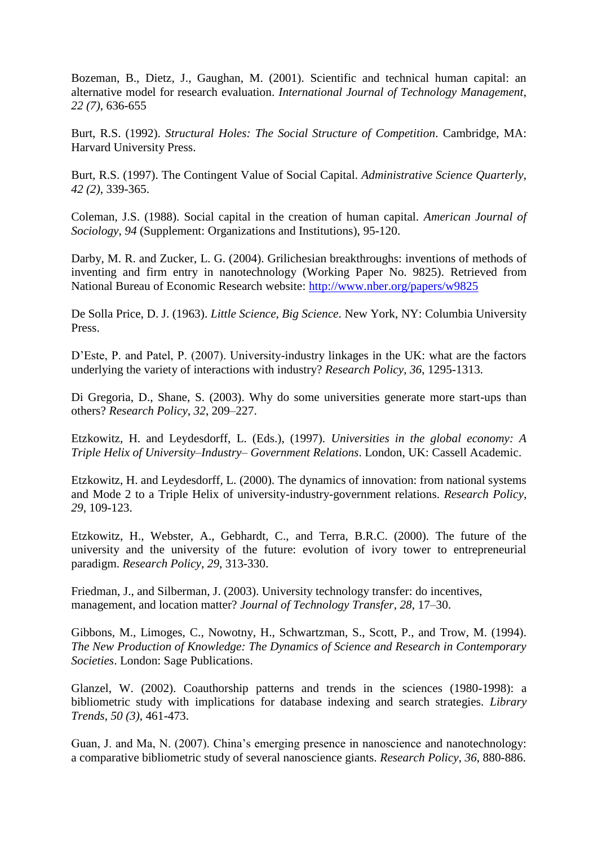Bozeman, B., Dietz, J., Gaughan, M. (2001). Scientific and technical human capital: an alternative model for research evaluation. *International Journal of Technology Management*, *22 (7)*, 636-655

Burt, R.S. (1992). *Structural Holes: The Social Structure of Competition*. Cambridge, MA: Harvard University Press.

Burt, R.S. (1997). The Contingent Value of Social Capital. *Administrative Science Quarterly*, *42 (2)*, 339-365.

Coleman, J.S. (1988). Social capital in the creation of human capital. *American Journal of Sociology*, *94* (Supplement: Organizations and Institutions), 95-120.

Darby, M. R. and Zucker, L. G. (2004). Grilichesian breakthroughs: inventions of methods of inventing and firm entry in nanotechnology (Working Paper No. 9825). Retrieved from National Bureau of Economic Research website:<http://www.nber.org/papers/w9825>

De Solla Price, D. J. (1963). *Little Science, Big Science*. New York, NY: Columbia University Press.

D"Este, P. and Patel, P. (2007). University-industry linkages in the UK: what are the factors underlying the variety of interactions with industry? *Research Policy*, *36*, 1295-1313.

Di Gregoria, D., Shane, S. (2003). Why do some universities generate more start-ups than others? *Research Policy*, *32*, 209–227.

Etzkowitz, H. and Leydesdorff, L. (Eds.), (1997). *Universities in the global economy: A Triple Helix of University–Industry– Government Relations*. London, UK: Cassell Academic.

Etzkowitz, H. and Leydesdorff, L. (2000). The dynamics of innovation: from national systems and Mode 2 to a Triple Helix of university-industry-government relations. *Research Policy*, *29*, 109-123.

Etzkowitz, H., Webster, A., Gebhardt, C., and Terra, B.R.C. (2000). The future of the university and the university of the future: evolution of ivory tower to entrepreneurial paradigm. *Research Policy*, *29*, 313-330.

Friedman, J., and Silberman, J. (2003). University technology transfer: do incentives, management, and location matter? *Journal of Technology Transfer*, *28*, 17–30.

Gibbons, M., Limoges, C., Nowotny, H., Schwartzman, S., Scott, P., and Trow, M. (1994). *The New Production of Knowledge: The Dynamics of Science and Research in Contemporary Societies*. London: Sage Publications.

Glanzel, W. (2002). Coauthorship patterns and trends in the sciences (1980-1998): a bibliometric study with implications for database indexing and search strategies. *Library Trends*, *50 (3)*, 461-473.

Guan, J. and Ma, N. (2007). China"s emerging presence in nanoscience and nanotechnology: a comparative bibliometric study of several nanoscience giants. *Research Policy*, *36*, 880-886.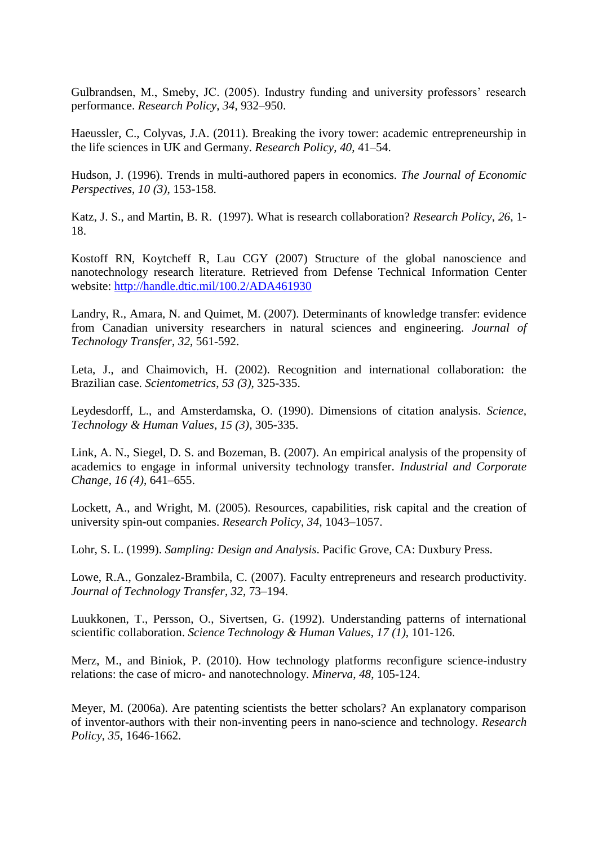Gulbrandsen, M., Smeby, JC. (2005). Industry funding and university professors' research performance. *Research Policy*, *34*, 932–950.

Haeussler, C., Colyvas, J.A. (2011). Breaking the ivory tower: academic entrepreneurship in the life sciences in UK and Germany. *Research Policy*, *40*, 41–54.

Hudson, J. (1996). Trends in multi-authored papers in economics. *The Journal of Economic Perspectives*, *10 (3)*, 153-158.

Katz, J. S., and Martin, B. R. (1997). What is research collaboration? *Research Policy*, *26*, 1- 18.

Kostoff RN, Koytcheff R, Lau CGY (2007) Structure of the global nanoscience and nanotechnology research literature. Retrieved from Defense Technical Information Center website: <http://handle.dtic.mil/100.2/ADA461930>

Landry, R., Amara, N. and Quimet, M. (2007). Determinants of knowledge transfer: evidence from Canadian university researchers in natural sciences and engineering. *Journal of Technology Transfer*, *32*, 561-592.

Leta, J., and Chaimovich, H. (2002). Recognition and international collaboration: the Brazilian case. *Scientometrics*, *53 (3)*, 325-335.

Leydesdorff, L., and Amsterdamska, O. (1990). Dimensions of citation analysis. *Science, Technology & Human Values*, *15 (3),* 305-335.

Link, A. N., Siegel, D. S. and Bozeman, B. (2007). An empirical analysis of the propensity of academics to engage in informal university technology transfer. *Industrial and Corporate Change*, *16 (4)*, 641–655.

Lockett, A., and Wright, M. (2005). Resources, capabilities, risk capital and the creation of university spin-out companies. *Research Policy*, *34*, 1043–1057.

Lohr, S. L. (1999). *Sampling: Design and Analysis*. Pacific Grove, CA: Duxbury Press.

Lowe, R.A., Gonzalez-Brambila, C. (2007). Faculty entrepreneurs and research productivity. *Journal of Technology Transfer*, *32*, 73–194.

Luukkonen, T., Persson, O., Sivertsen, G. (1992). Understanding patterns of international scientific collaboration. *Science Technology & Human Values*, *17 (1)*, 101-126.

Merz, M., and Biniok, P. (2010). How technology platforms reconfigure science-industry relations: the case of micro- and nanotechnology. *Minerva*, *48*, 105-124.

Meyer, M. (2006a). Are patenting scientists the better scholars? An explanatory comparison of inventor-authors with their non-inventing peers in nano-science and technology. *Research Policy*, *35*, 1646-1662.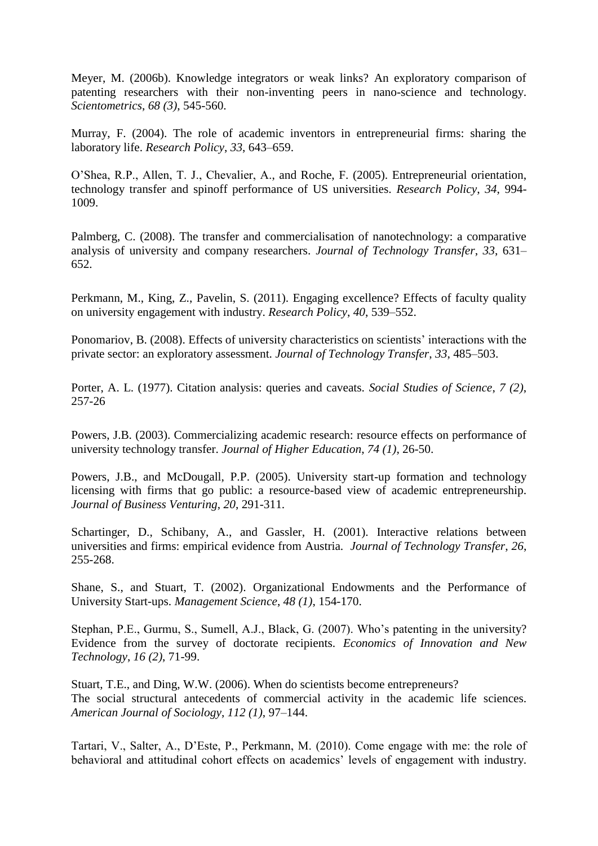Meyer, M. (2006b). Knowledge integrators or weak links? An exploratory comparison of patenting researchers with their non-inventing peers in nano-science and technology. *Scientometrics*, *68 (3)*, 545-560.

Murray, F. (2004). The role of academic inventors in entrepreneurial firms: sharing the laboratory life. *Research Policy*, *33*, 643–659.

O"Shea, R.P., Allen, T. J., Chevalier, A., and Roche, F. (2005). Entrepreneurial orientation, technology transfer and spinoff performance of US universities. *Research Policy*, *34*, 994- 1009.

Palmberg, C. (2008). The transfer and commercialisation of nanotechnology: a comparative analysis of university and company researchers. *Journal of Technology Transfer*, *33*, 631– 652.

Perkmann, M., King, Z., Pavelin, S. (2011). Engaging excellence? Effects of faculty quality on university engagement with industry. *Research Policy*, *40*, 539–552.

Ponomariov, B. (2008). Effects of university characteristics on scientists" interactions with the private sector: an exploratory assessment. *Journal of Technology Transfer*, *33*, 485–503.

Porter, A. L. (1977). Citation analysis: queries and caveats. *Social Studies of Science*, *7 (2)*, 257-26

Powers, J.B. (2003). Commercializing academic research: resource effects on performance of university technology transfer. *Journal of Higher Education*, *74 (1)*, 26-50.

Powers, J.B., and McDougall, P.P. (2005). University start-up formation and technology licensing with firms that go public: a resource-based view of academic entrepreneurship. *Journal of Business Venturing*, *20*, 291-311.

Schartinger, D., Schibany, A., and Gassler, H. (2001). Interactive relations between universities and firms: empirical evidence from Austria. *Journal of Technology Transfer*, *26*, 255-268.

Shane, S., and Stuart, T. (2002). Organizational Endowments and the Performance of University Start-ups. *Management Science*, *48 (1)*, 154-170.

Stephan, P.E., Gurmu, S., Sumell, A.J., Black, G. (2007). Who's patenting in the university? Evidence from the survey of doctorate recipients. *Economics of Innovation and New Technology*, *16 (2)*, 71-99.

Stuart, T.E., and Ding, W.W. (2006). When do scientists become entrepreneurs? The social structural antecedents of commercial activity in the academic life sciences. *American Journal of Sociology*, *112 (1)*, 97–144.

Tartari, V., Salter, A., D"Este, P., Perkmann, M. (2010). Come engage with me: the role of behavioral and attitudinal cohort effects on academics' levels of engagement with industry.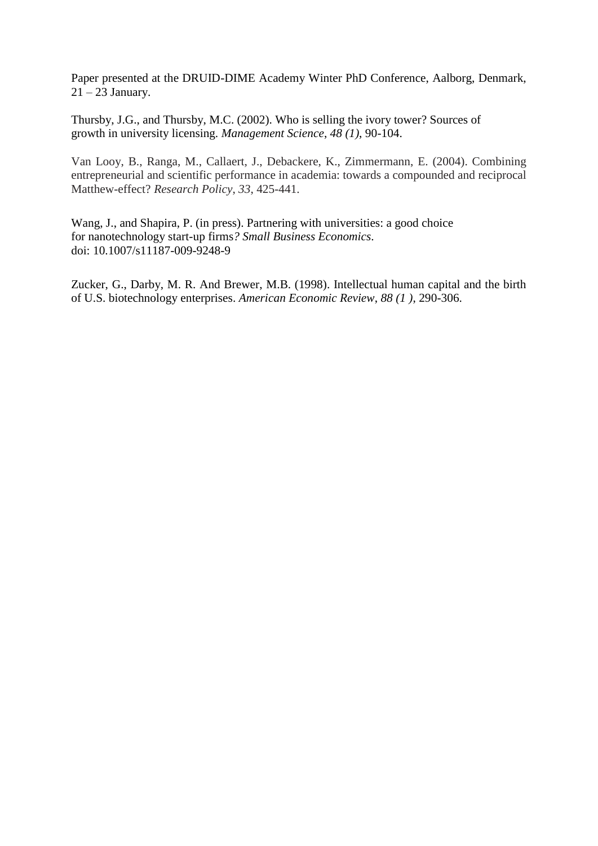Paper presented at the DRUID-DIME Academy Winter PhD Conference, Aalborg, Denmark,  $21 - 23$  January.

Thursby, J.G., and Thursby, M.C. (2002). Who is selling the ivory tower? Sources of growth in university licensing. *Management Science*, *48 (1)*, 90-104.

Van Looy, B., Ranga, M., Callaert, J., Debackere, K., Zimmermann, E. (2004). Combining entrepreneurial and scientific performance in academia: towards a compounded and reciprocal Matthew-effect? *Research Policy*, *33*, 425-441.

Wang, J., and Shapira, P. (in press). Partnering with universities: a good choice for nanotechnology start-up firms*? Small Business Economics*. doi: 10.1007/s11187-009-9248-9

Zucker, G., Darby, M. R. And Brewer, M.B. (1998). Intellectual human capital and the birth of U.S. biotechnology enterprises. *American Economic Review*, *88 (1 )*, 290-306.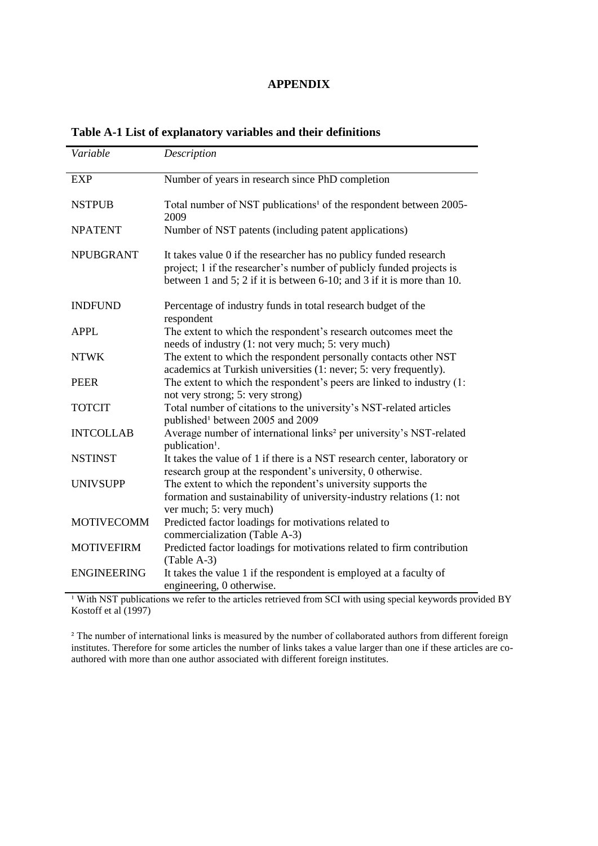## **APPENDIX**

| Variable           | Description                                                                                                                                                                                                         |
|--------------------|---------------------------------------------------------------------------------------------------------------------------------------------------------------------------------------------------------------------|
| <b>EXP</b>         | Number of years in research since PhD completion                                                                                                                                                                    |
| <b>NSTPUB</b>      | Total number of NST publications <sup>1</sup> of the respondent between 2005-<br>2009                                                                                                                               |
| <b>NPATENT</b>     | Number of NST patents (including patent applications)                                                                                                                                                               |
| <b>NPUBGRANT</b>   | It takes value 0 if the researcher has no publicy funded research<br>project; 1 if the researcher's number of publicly funded projects is<br>between 1 and 5; 2 if it is between 6-10; and 3 if it is more than 10. |
| <b>INDFUND</b>     | Percentage of industry funds in total research budget of the<br>respondent                                                                                                                                          |
| <b>APPL</b>        | The extent to which the respondent's research outcomes meet the<br>needs of industry (1: not very much; 5: very much)                                                                                               |
| <b>NTWK</b>        | The extent to which the respondent personally contacts other NST<br>academics at Turkish universities (1: never; 5: very frequently).                                                                               |
| <b>PEER</b>        | The extent to which the respondent's peers are linked to industry $(1)$ :<br>not very strong; 5: very strong)                                                                                                       |
| <b>TOTCIT</b>      | Total number of citations to the university's NST-related articles<br>published <sup>1</sup> between 2005 and 2009                                                                                                  |
| <b>INTCOLLAB</b>   | Average number of international links <sup>2</sup> per university's NST-related<br>publication <sup>1</sup> .                                                                                                       |
| <b>NSTINST</b>     | It takes the value of 1 if there is a NST research center, laboratory or<br>research group at the respondent's university, 0 otherwise.                                                                             |
| <b>UNIVSUPP</b>    | The extent to which the repondent's university supports the<br>formation and sustainability of university-industry relations (1: not<br>ver much; 5: very much)                                                     |
| <b>MOTIVECOMM</b>  | Predicted factor loadings for motivations related to<br>commercialization (Table A-3)                                                                                                                               |
| <b>MOTIVEFIRM</b>  | Predicted factor loadings for motivations related to firm contribution<br>(Table A-3)                                                                                                                               |
| <b>ENGINEERING</b> | It takes the value 1 if the respondent is employed at a faculty of<br>engineering, 0 otherwise.                                                                                                                     |

## **Table A-1 List of explanatory variables and their definitions**

<sup>1</sup> With NST publications we refer to the articles retrieved from SCI with using special keywords provided BY Kostoff et al  $(1997)$ 

² The number of international links is measured by the number of collaborated authors from different foreign institutes. Therefore for some articles the number of links takes a value larger than one if these articles are coauthored with more than one author associated with different foreign institutes.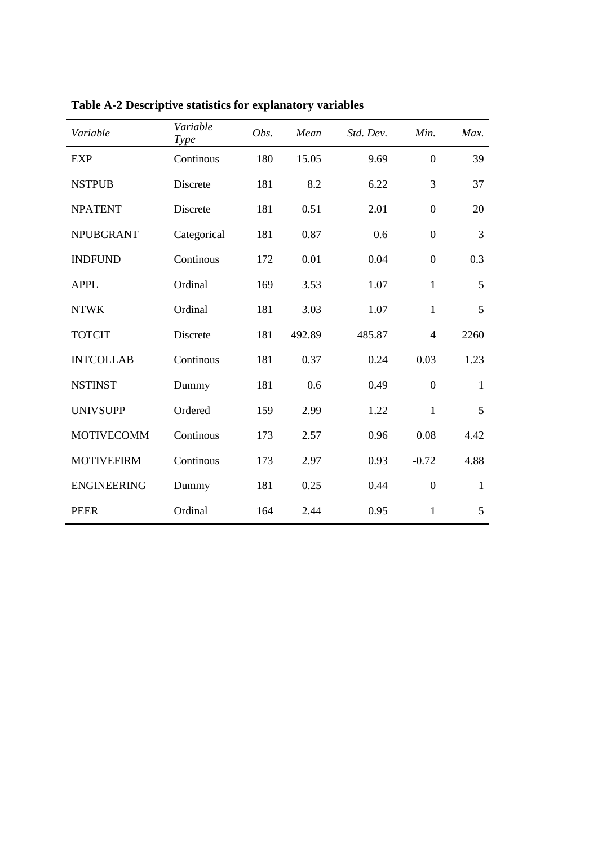| Variable           | Variable<br><b>Type</b> | Obs. | Mean   | Std. Dev. | Min.             | Max.         |
|--------------------|-------------------------|------|--------|-----------|------------------|--------------|
| EXP                | Continous               | 180  | 15.05  | 9.69      | $\mathbf{0}$     | 39           |
| <b>NSTPUB</b>      | Discrete                | 181  | 8.2    | 6.22      | 3                | 37           |
| <b>NPATENT</b>     | Discrete                | 181  | 0.51   | 2.01      | $\boldsymbol{0}$ | 20           |
| <b>NPUBGRANT</b>   | Categorical             | 181  | 0.87   | 0.6       | $\boldsymbol{0}$ | 3            |
| <b>INDFUND</b>     | Continous               | 172  | 0.01   | 0.04      | $\mathbf{0}$     | 0.3          |
| <b>APPL</b>        | Ordinal                 | 169  | 3.53   | 1.07      | $\mathbf{1}$     | 5            |
| <b>NTWK</b>        | Ordinal                 | 181  | 3.03   | 1.07      | $\mathbf{1}$     | 5            |
| <b>TOTCIT</b>      | Discrete                | 181  | 492.89 | 485.87    | $\overline{4}$   | 2260         |
| <b>INTCOLLAB</b>   | Continous               | 181  | 0.37   | 0.24      | 0.03             | 1.23         |
| <b>NSTINST</b>     | Dummy                   | 181  | 0.6    | 0.49      | $\boldsymbol{0}$ | $\mathbf{1}$ |
| <b>UNIVSUPP</b>    | Ordered                 | 159  | 2.99   | 1.22      | $\mathbf{1}$     | 5            |
| <b>MOTIVECOMM</b>  | Continous               | 173  | 2.57   | 0.96      | 0.08             | 4.42         |
| <b>MOTIVEFIRM</b>  | Continous               | 173  | 2.97   | 0.93      | $-0.72$          | 4.88         |
| <b>ENGINEERING</b> | Dummy                   | 181  | 0.25   | 0.44      | $\boldsymbol{0}$ | $\mathbf{1}$ |
| <b>PEER</b>        | Ordinal                 | 164  | 2.44   | 0.95      | $\mathbf{1}$     | 5            |

**Table A-2 Descriptive statistics for explanatory variables**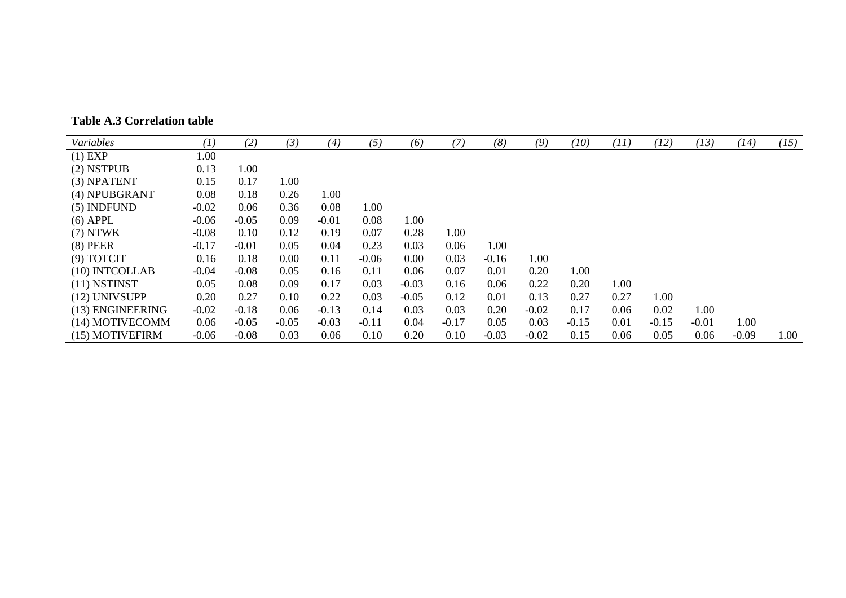| Variables        | $\left(1\right)$ | (2)     | (3)     | (4)     | (5)     | (6)     | (7)     | (8)     | (9)     | (10)    | (11) | (12)    | (13)    | (14)    | (15) |
|------------------|------------------|---------|---------|---------|---------|---------|---------|---------|---------|---------|------|---------|---------|---------|------|
| $(1)$ EXP        | 1.00             |         |         |         |         |         |         |         |         |         |      |         |         |         |      |
| $(2)$ NSTPUB     | 0.13             | 1.00    |         |         |         |         |         |         |         |         |      |         |         |         |      |
| (3) NPATENT      | 0.15             | 0.17    | 1.00    |         |         |         |         |         |         |         |      |         |         |         |      |
| (4) NPUBGRANT    | 0.08             | 0.18    | 0.26    | 1.00    |         |         |         |         |         |         |      |         |         |         |      |
| $(5)$ INDFUND    | $-0.02$          | 0.06    | 0.36    | 0.08    | 1.00    |         |         |         |         |         |      |         |         |         |      |
| $(6)$ APPL       | $-0.06$          | $-0.05$ | 0.09    | $-0.01$ | 0.08    | 1.00    |         |         |         |         |      |         |         |         |      |
| $(7)$ NTWK       | $-0.08$          | 0.10    | 0.12    | 0.19    | 0.07    | 0.28    | 1.00    |         |         |         |      |         |         |         |      |
| $(8)$ PEER       | $-0.17$          | $-0.01$ | 0.05    | 0.04    | 0.23    | 0.03    | 0.06    | 1.00    |         |         |      |         |         |         |      |
| $(9)$ TOTCIT     | 0.16             | 0.18    | 0.00    | 0.11    | $-0.06$ | 0.00    | 0.03    | $-0.16$ | 1.00    |         |      |         |         |         |      |
| (10) INTCOLLAB   | $-0.04$          | $-0.08$ | 0.05    | 0.16    | 0.11    | 0.06    | 0.07    | 0.01    | 0.20    | 1.00    |      |         |         |         |      |
| $(11)$ NSTINST   | 0.05             | 0.08    | 0.09    | 0.17    | 0.03    | $-0.03$ | 0.16    | 0.06    | 0.22    | 0.20    | 1.00 |         |         |         |      |
| (12) UNIVSUPP    | 0.20             | 0.27    | 0.10    | 0.22    | 0.03    | $-0.05$ | 0.12    | 0.01    | 0.13    | 0.27    | 0.27 | 1.00    |         |         |      |
| (13) ENGINEERING | $-0.02$          | $-0.18$ | 0.06    | $-0.13$ | 0.14    | 0.03    | 0.03    | 0.20    | $-0.02$ | 0.17    | 0.06 | 0.02    | 1.00    |         |      |
| (14) MOTIVECOMM  | 0.06             | $-0.05$ | $-0.05$ | $-0.03$ | $-0.11$ | 0.04    | $-0.17$ | 0.05    | 0.03    | $-0.15$ | 0.01 | $-0.15$ | $-0.01$ | 1.00    |      |
| (15) MOTIVEFIRM  | $-0.06$          | $-0.08$ | 0.03    | 0.06    | 0.10    | 0.20    | 0.10    | $-0.03$ | $-0.02$ | 0.15    | 0.06 | 0.05    | 0.06    | $-0.09$ | 1.00 |